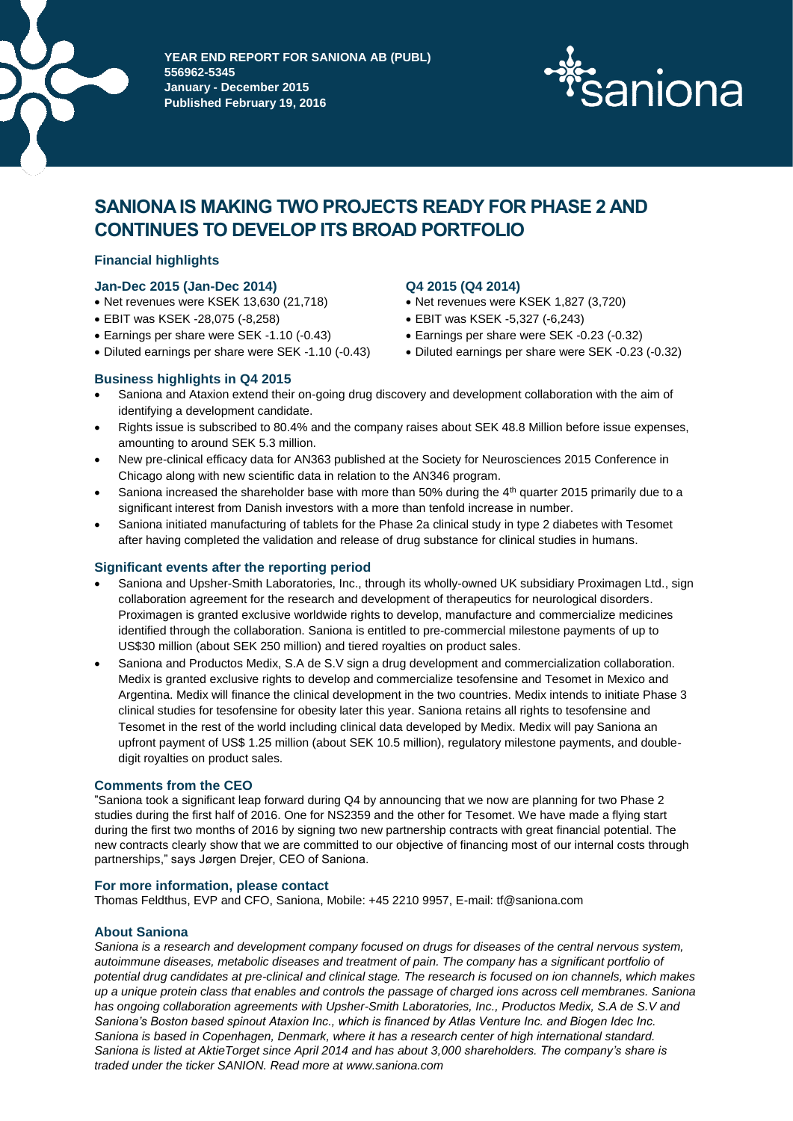

**PEAR END REPORT FOR SANIONA AB (PUBL) 556962-5345 January - December 2015 Published February 19, 2016**



# **SANIONA IS MAKING TWO PROJECTS READY FOR PHASE 2 AND CONTINUES TO DEVELOP ITS BROAD PORTFOLIO**

## **Financial highlights**

## **Jan-Dec 2015 (Jan-Dec 2014)**

- Net revenues were KSEK 13,630 (21,718)
- EBIT was KSEK -28,075 (-8,258)
- Earnings per share were SEK -1.10 (-0.43)
- Diluted earnings per share were SEK -1.10 (-0.43)

## **Business highlights in Q4 2015**

## **Q4 2015 (Q4 2014)**

- Net revenues were KSEK 1,827 (3,720)
- EBIT was KSEK -5,327 (-6,243)
- Earnings per share were SEK -0.23 (-0.32)
- Diluted earnings per share were SEK -0.23 (-0.32)
- Saniona and Ataxion extend their on-going drug discovery and development collaboration with the aim of identifying a development candidate.
- Rights issue is subscribed to 80.4% and the company raises about SEK 48.8 Million before issue expenses, amounting to around SEK 5.3 million.
- New pre-clinical efficacy data for AN363 published at the Society for Neurosciences 2015 Conference in Chicago along with new scientific data in relation to the AN346 program.
- Saniona increased the shareholder base with more than 50% during the  $4<sup>th</sup>$  quarter 2015 primarily due to a significant interest from Danish investors with a more than tenfold increase in number.
- Saniona initiated manufacturing of tablets for the Phase 2a clinical study in type 2 diabetes with Tesomet after having completed the validation and release of drug substance for clinical studies in humans.

## **Significant events after the reporting period**

- Saniona and Upsher-Smith Laboratories, Inc., through its wholly-owned UK subsidiary Proximagen Ltd., sign collaboration agreement for the research and development of therapeutics for neurological disorders. Proximagen is granted exclusive worldwide rights to develop, manufacture and commercialize medicines identified through the collaboration. Saniona is entitled to pre-commercial milestone payments of up to US\$30 million (about SEK 250 million) and tiered royalties on product sales.
- Saniona and Productos Medix, S.A de S.V sign a drug development and commercialization collaboration. Medix is granted exclusive rights to develop and commercialize tesofensine and Tesomet in Mexico and Argentina. Medix will finance the clinical development in the two countries. Medix intends to initiate Phase 3 clinical studies for tesofensine for obesity later this year. Saniona retains all rights to tesofensine and Tesomet in the rest of the world including clinical data developed by Medix. Medix will pay Saniona an upfront payment of US\$ 1.25 million (about SEK 10.5 million), regulatory milestone payments, and doubledigit royalties on product sales.

## **Comments from the CEO**

"Saniona took a significant leap forward during Q4 by announcing that we now are planning for two Phase 2 studies during the first half of 2016. One for NS2359 and the other for Tesomet. We have made a flying start during the first two months of 2016 by signing two new partnership contracts with great financial potential. The new contracts clearly show that we are committed to our objective of financing most of our internal costs through partnerships," says Jørgen Drejer, CEO of Saniona.

## **For more information, please contact**

Thomas Feldthus, EVP and CFO, Saniona, Mobile: +45 2210 9957, E-mail: tf@saniona.com

## **About Saniona**

*Saniona is a research and development company focused on drugs for diseases of the central nervous system, autoimmune diseases, metabolic diseases and treatment of pain. The company has a significant portfolio of potential drug candidates at pre-clinical and clinical stage. The research is focused on ion channels, which makes up a unique protein class that enables and controls the passage of charged ions across cell membranes. Saniona has ongoing collaboration agreements with Upsher-Smith Laboratories, Inc., Productos Medix, S.A de S.V and Saniona's Boston based spinout Ataxion Inc., which is financed by Atlas Venture Inc. and Biogen Idec Inc. Saniona is based in Copenhagen, Denmark, where it has a research center of high international standard. Saniona is listed at AktieTorget since April 2014 and has about 3,000 shareholders. The company's share is traded under the ticker SANION. Read more at www.saniona.com*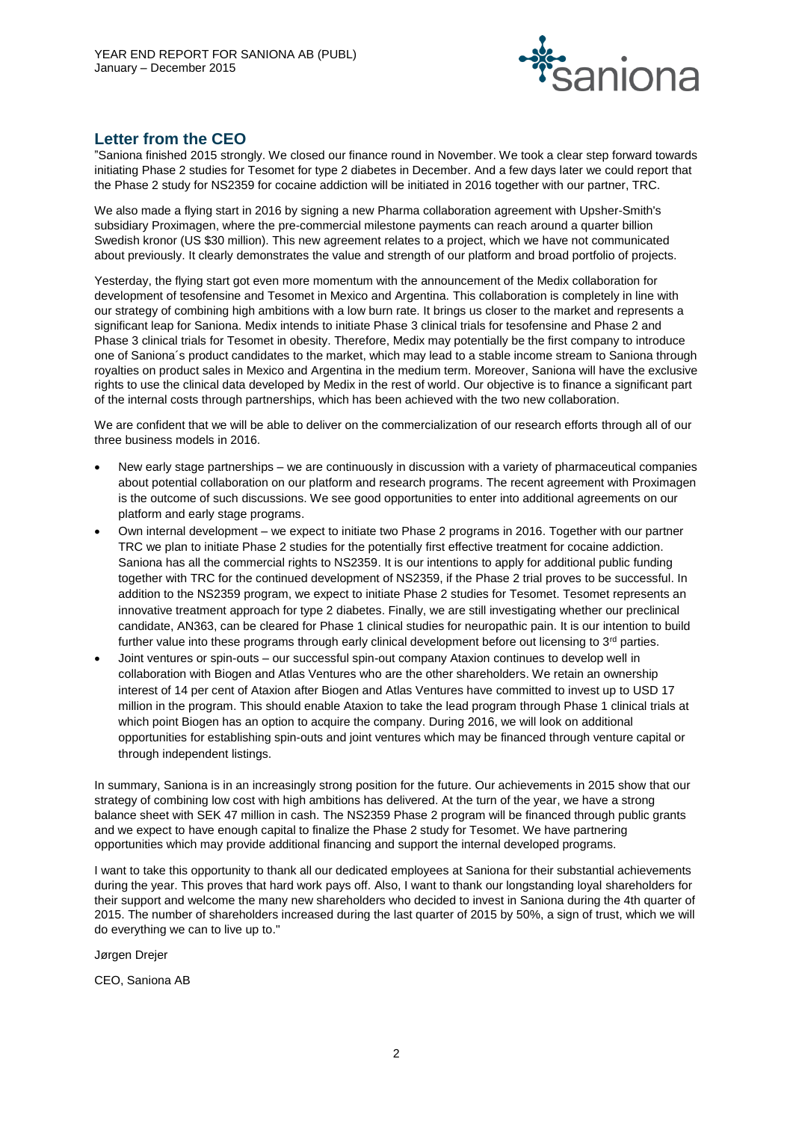

## **Letter from the CEO**

"Saniona finished 2015 strongly. We closed our finance round in November. We took a clear step forward towards initiating Phase 2 studies for Tesomet for type 2 diabetes in December. And a few days later we could report that the Phase 2 study for NS2359 for cocaine addiction will be initiated in 2016 together with our partner, TRC.

We also made a flying start in 2016 by signing a new Pharma collaboration agreement with Upsher-Smith's subsidiary Proximagen, where the pre-commercial milestone payments can reach around a quarter billion Swedish kronor (US \$30 million). This new agreement relates to a project, which we have not communicated about previously. It clearly demonstrates the value and strength of our platform and broad portfolio of projects.

Yesterday, the flying start got even more momentum with the announcement of the Medix collaboration for development of tesofensine and Tesomet in Mexico and Argentina. This collaboration is completely in line with our strategy of combining high ambitions with a low burn rate. It brings us closer to the market and represents a significant leap for Saniona. Medix intends to initiate Phase 3 clinical trials for tesofensine and Phase 2 and Phase 3 clinical trials for Tesomet in obesity. Therefore, Medix may potentially be the first company to introduce one of Saniona´s product candidates to the market, which may lead to a stable income stream to Saniona through royalties on product sales in Mexico and Argentina in the medium term. Moreover, Saniona will have the exclusive rights to use the clinical data developed by Medix in the rest of world. Our objective is to finance a significant part of the internal costs through partnerships, which has been achieved with the two new collaboration.

We are confident that we will be able to deliver on the commercialization of our research efforts through all of our three business models in 2016.

- New early stage partnerships we are continuously in discussion with a variety of pharmaceutical companies about potential collaboration on our platform and research programs. The recent agreement with Proximagen is the outcome of such discussions. We see good opportunities to enter into additional agreements on our platform and early stage programs.
- Own internal development we expect to initiate two Phase 2 programs in 2016. Together with our partner TRC we plan to initiate Phase 2 studies for the potentially first effective treatment for cocaine addiction. Saniona has all the commercial rights to NS2359. It is our intentions to apply for additional public funding together with TRC for the continued development of NS2359, if the Phase 2 trial proves to be successful. In addition to the NS2359 program, we expect to initiate Phase 2 studies for Tesomet. Tesomet represents an innovative treatment approach for type 2 diabetes. Finally, we are still investigating whether our preclinical candidate, AN363, can be cleared for Phase 1 clinical studies for neuropathic pain. It is our intention to build further value into these programs through early clinical development before out licensing to 3<sup>rd</sup> parties.
- Joint ventures or spin-outs our successful spin-out company Ataxion continues to develop well in collaboration with Biogen and Atlas Ventures who are the other shareholders. We retain an ownership interest of 14 per cent of Ataxion after Biogen and Atlas Ventures have committed to invest up to USD 17 million in the program. This should enable Ataxion to take the lead program through Phase 1 clinical trials at which point Biogen has an option to acquire the company. During 2016, we will look on additional opportunities for establishing spin-outs and joint ventures which may be financed through venture capital or through independent listings.

In summary, Saniona is in an increasingly strong position for the future. Our achievements in 2015 show that our strategy of combining low cost with high ambitions has delivered. At the turn of the year, we have a strong balance sheet with SEK 47 million in cash. The NS2359 Phase 2 program will be financed through public grants and we expect to have enough capital to finalize the Phase 2 study for Tesomet. We have partnering opportunities which may provide additional financing and support the internal developed programs.

I want to take this opportunity to thank all our dedicated employees at Saniona for their substantial achievements during the year. This proves that hard work pays off. Also, I want to thank our longstanding loyal shareholders for their support and welcome the many new shareholders who decided to invest in Saniona during the 4th quarter of 2015. The number of shareholders increased during the last quarter of 2015 by 50%, a sign of trust, which we will do everything we can to live up to."

Jørgen Drejer

CEO, Saniona AB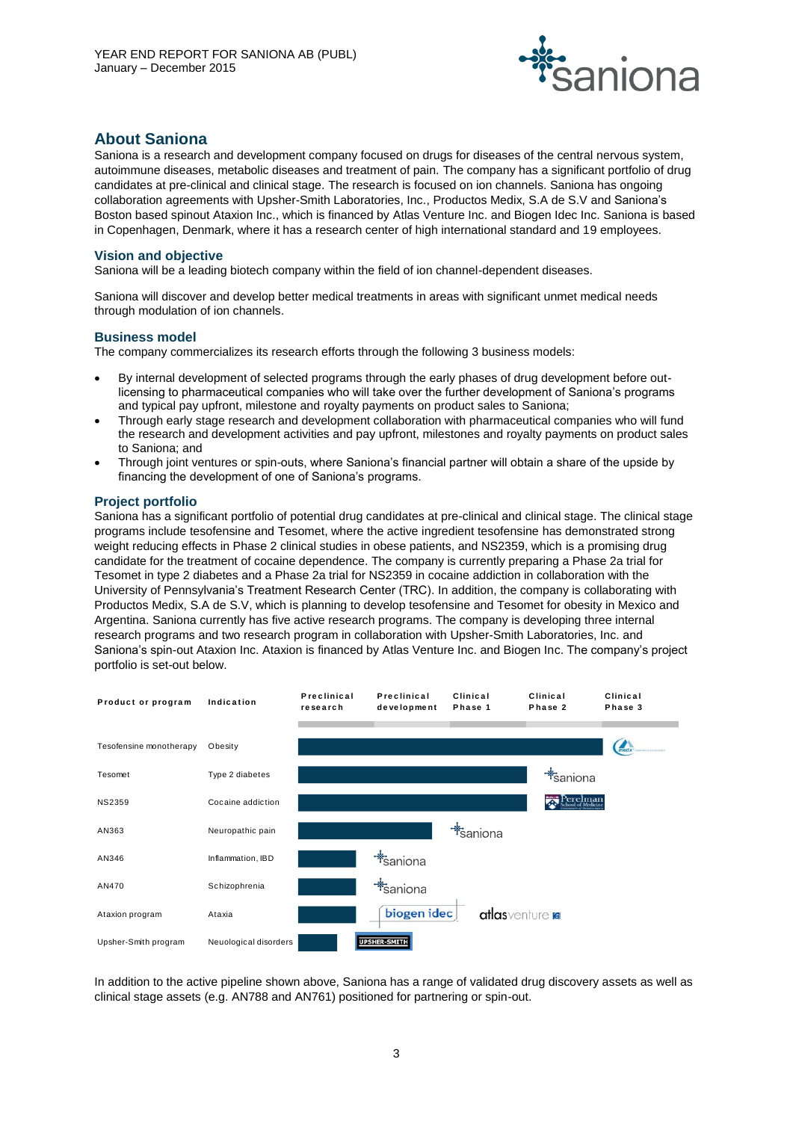

## **About Saniona**

Saniona is a research and development company focused on drugs for diseases of the central nervous system, autoimmune diseases, metabolic diseases and treatment of pain. The company has a significant portfolio of drug candidates at pre-clinical and clinical stage. The research is focused on ion channels. Saniona has ongoing collaboration agreements with Upsher-Smith Laboratories, Inc., Productos Medix, S.A de S.V and Saniona's Boston based spinout Ataxion Inc., which is financed by Atlas Venture Inc. and Biogen Idec Inc. Saniona is based in Copenhagen, Denmark, where it has a research center of high international standard and 19 employees.

### **Vision and objective**

Saniona will be a leading biotech company within the field of ion channel-dependent diseases.

Saniona will discover and develop better medical treatments in areas with significant unmet medical needs through modulation of ion channels.

## **Business model**

The company commercializes its research efforts through the following 3 business models:

- By internal development of selected programs through the early phases of drug development before outlicensing to pharmaceutical companies who will take over the further development of Saniona's programs and typical pay upfront, milestone and royalty payments on product sales to Saniona;
- Through early stage research and development collaboration with pharmaceutical companies who will fund the research and development activities and pay upfront, milestones and royalty payments on product sales to Saniona; and
- Through joint ventures or spin-outs, where Saniona's financial partner will obtain a share of the upside by financing the development of one of Saniona's programs.

## **Project portfolio**

Saniona has a significant portfolio of potential drug candidates at pre-clinical and clinical stage. The clinical stage programs include tesofensine and Tesomet, where the active ingredient tesofensine has demonstrated strong weight reducing effects in Phase 2 clinical studies in obese patients, and NS2359, which is a promising drug candidate for the treatment of cocaine dependence. The company is currently preparing a Phase 2a trial for Tesomet in type 2 diabetes and a Phase 2a trial for NS2359 in cocaine addiction in collaboration with the University of Pennsylvania's Treatment Research Center (TRC). In addition, the company is collaborating with Productos Medix, S.A de S.V, which is planning to develop tesofensine and Tesomet for obesity in Mexico and Argentina. Saniona currently has five active research programs. The company is developing three internal research programs and two research program in collaboration with Upsher-Smith Laboratories, Inc. and Saniona's spin-out Ataxion Inc. Ataxion is financed by Atlas Venture Inc. and Biogen Inc. The company's project portfolio is set-out below.



In addition to the active pipeline shown above, Saniona has a range of validated drug discovery assets as well as clinical stage assets (e.g. AN788 and AN761) positioned for partnering or spin-out.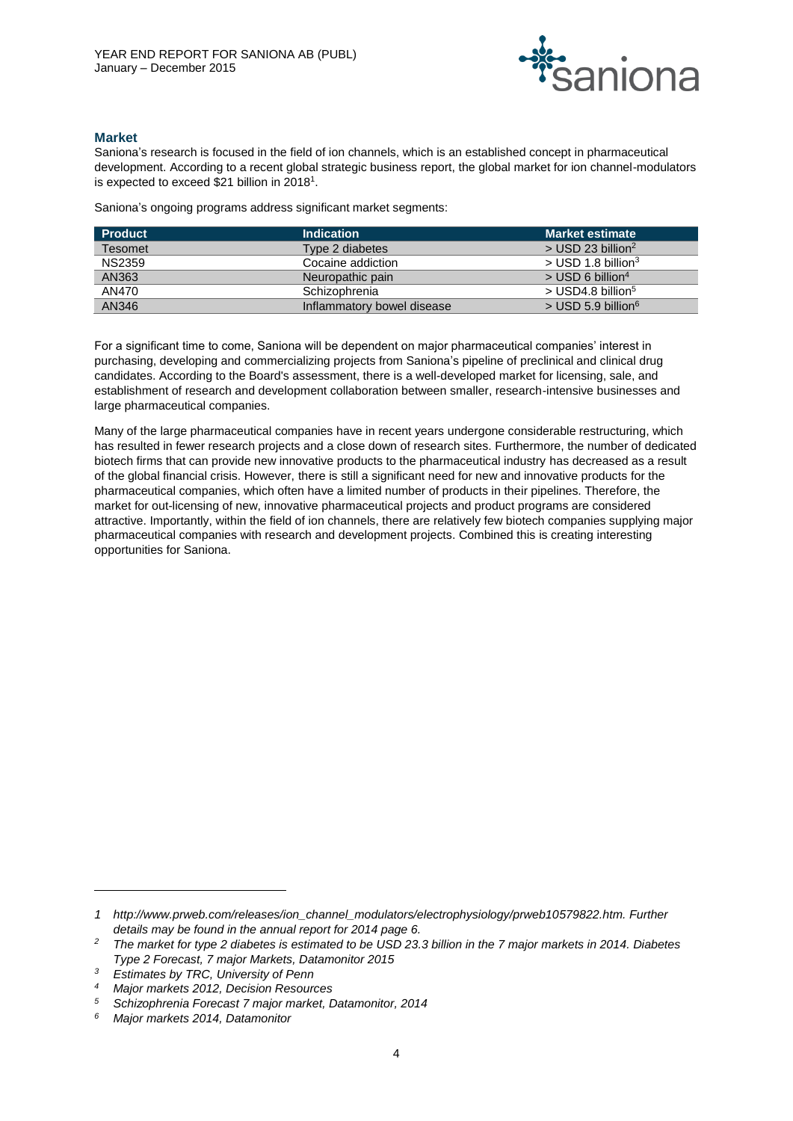

## **Market**

Saniona's research is focused in the field of ion channels, which is an established concept in pharmaceutical development. According to a recent global strategic business report, the global market for ion channel-modulators is expected to exceed \$21 billion in 2018<sup>1</sup>.

Saniona's ongoing programs address significant market segments:

| <b>Product</b> | <b>Indication</b>          | <b>Market estimate</b>           |
|----------------|----------------------------|----------------------------------|
| <b>Tesomet</b> | Type 2 diabetes            | $>$ USD 23 billion <sup>2</sup>  |
| <b>NS2359</b>  | Cocaine addiction          | $>$ USD 1.8 billion <sup>3</sup> |
| AN363          | Neuropathic pain           | $>$ USD 6 billion <sup>4</sup>   |
| AN470          | Schizophrenia              | $>$ USD4.8 billion <sup>5</sup>  |
| AN346          | Inflammatory bowel disease | $>$ USD 5.9 billion <sup>6</sup> |

For a significant time to come, Saniona will be dependent on major pharmaceutical companies' interest in purchasing, developing and commercializing projects from Saniona's pipeline of preclinical and clinical drug candidates. According to the Board's assessment, there is a well-developed market for licensing, sale, and establishment of research and development collaboration between smaller, research-intensive businesses and large pharmaceutical companies.

Many of the large pharmaceutical companies have in recent years undergone considerable restructuring, which has resulted in fewer research projects and a close down of research sites. Furthermore, the number of dedicated biotech firms that can provide new innovative products to the pharmaceutical industry has decreased as a result of the global financial crisis. However, there is still a significant need for new and innovative products for the pharmaceutical companies, which often have a limited number of products in their pipelines. Therefore, the market for out-licensing of new, innovative pharmaceutical projects and product programs are considered attractive. Importantly, within the field of ion channels, there are relatively few biotech companies supplying major pharmaceutical companies with research and development projects. Combined this is creating interesting opportunities for Saniona.

 $\overline{a}$ 

*<sup>1</sup> [http://www.prweb.com/releases/ion\\_channel\\_modulators/electrophysiology/prweb10579822.htm.](http://www.prweb.com/releases/ion_channel_modulators/electrophysiology/prweb10579822.htm) Further details may be found in the annual report for 2014 page 6.*

*<sup>2</sup> The market for type 2 diabetes is estimated to be USD 23.3 billion in the 7 major markets in 2014. Diabetes Type 2 Forecast, 7 major Markets, Datamonitor 2015*

*<sup>3</sup> Estimates by TRC, University of Penn*

*<sup>4</sup> Major markets 2012, Decision Resources*

*<sup>5</sup> Schizophrenia Forecast 7 major market, Datamonitor, 2014*

*<sup>6</sup> Major markets 2014, Datamonitor*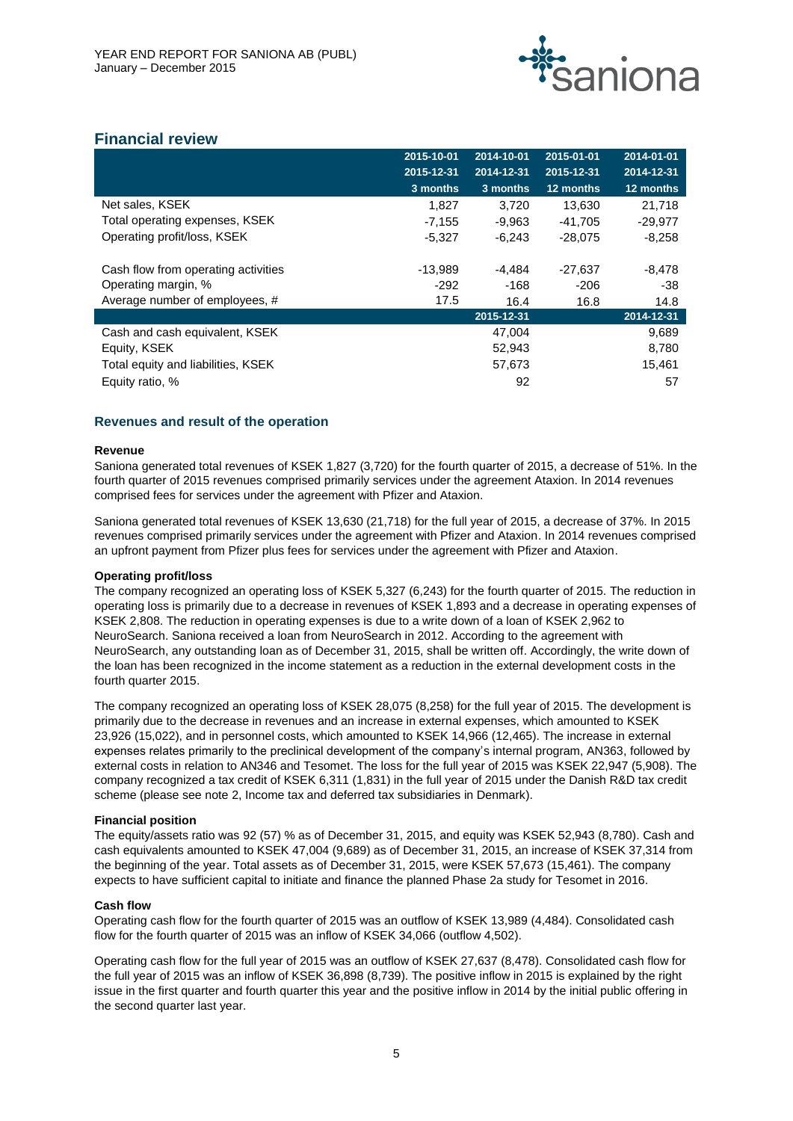

## **Financial review**

|                                     | 2015-10-01 | 2014-10-01 | 2015-01-01 | 2014-01-01 |
|-------------------------------------|------------|------------|------------|------------|
|                                     | 2015-12-31 | 2014-12-31 | 2015-12-31 | 2014-12-31 |
|                                     | $3$ months | 3 months   | 12 months  | 12 months  |
| Net sales, KSEK                     | 1,827      | 3,720      | 13,630     | 21,718     |
| Total operating expenses, KSEK      | $-7,155$   | -9,963     | -41,705    | $-29.977$  |
| Operating profit/loss, KSEK         | $-5,327$   | $-6,243$   | $-28,075$  | $-8,258$   |
|                                     |            |            |            |            |
| Cash flow from operating activities | $-13,989$  | -4.484     | $-27,637$  | $-8,478$   |
| Operating margin, %                 | $-292$     | -168       | $-206$     | $-38$      |
| Average number of employees, #      | 17.5       | 16.4       | 16.8       | 14.8       |
|                                     |            | 2015-12-31 |            | 2014-12-31 |
| Cash and cash equivalent, KSEK      |            | 47,004     |            | 9,689      |
| Equity, KSEK                        |            | 52,943     |            | 8,780      |
| Total equity and liabilities, KSEK  |            | 57,673     |            | 15,461     |
| Equity ratio, %                     |            | 92         |            | 57         |
|                                     |            |            |            |            |

## **Revenues and result of the operation**

#### **Revenue**

Saniona generated total revenues of KSEK 1,827 (3,720) for the fourth quarter of 2015, a decrease of 51%. In the fourth quarter of 2015 revenues comprised primarily services under the agreement Ataxion. In 2014 revenues comprised fees for services under the agreement with Pfizer and Ataxion.

Saniona generated total revenues of KSEK 13,630 (21,718) for the full year of 2015, a decrease of 37%. In 2015 revenues comprised primarily services under the agreement with Pfizer and Ataxion. In 2014 revenues comprised an upfront payment from Pfizer plus fees for services under the agreement with Pfizer and Ataxion.

## **Operating profit/loss**

The company recognized an operating loss of KSEK 5,327 (6,243) for the fourth quarter of 2015. The reduction in operating loss is primarily due to a decrease in revenues of KSEK 1,893 and a decrease in operating expenses of KSEK 2,808. The reduction in operating expenses is due to a write down of a loan of KSEK 2,962 to NeuroSearch. Saniona received a loan from NeuroSearch in 2012. According to the agreement with NeuroSearch, any outstanding loan as of December 31, 2015, shall be written off. Accordingly, the write down of the loan has been recognized in the income statement as a reduction in the external development costs in the fourth quarter 2015.

The company recognized an operating loss of KSEK 28,075 (8,258) for the full year of 2015. The development is primarily due to the decrease in revenues and an increase in external expenses, which amounted to KSEK 23,926 (15,022), and in personnel costs, which amounted to KSEK 14,966 (12,465). The increase in external expenses relates primarily to the preclinical development of the company's internal program, AN363, followed by external costs in relation to AN346 and Tesomet. The loss for the full year of 2015 was KSEK 22,947 (5,908). The company recognized a tax credit of KSEK 6,311 (1,831) in the full year of 2015 under the Danish R&D tax credit scheme (please see note 2, Income tax and deferred tax subsidiaries in Denmark).

## **Financial position**

The equity/assets ratio was 92 (57) % as of December 31, 2015, and equity was KSEK 52,943 (8,780). Cash and cash equivalents amounted to KSEK 47,004 (9,689) as of December 31, 2015, an increase of KSEK 37,314 from the beginning of the year. Total assets as of December 31, 2015, were KSEK 57,673 (15,461). The company expects to have sufficient capital to initiate and finance the planned Phase 2a study for Tesomet in 2016.

## **Cash flow**

Operating cash flow for the fourth quarter of 2015 was an outflow of KSEK 13,989 (4,484). Consolidated cash flow for the fourth quarter of 2015 was an inflow of KSEK 34,066 (outflow 4,502).

Operating cash flow for the full year of 2015 was an outflow of KSEK 27,637 (8,478). Consolidated cash flow for the full year of 2015 was an inflow of KSEK 36,898 (8,739). The positive inflow in 2015 is explained by the right issue in the first quarter and fourth quarter this year and the positive inflow in 2014 by the initial public offering in the second quarter last year.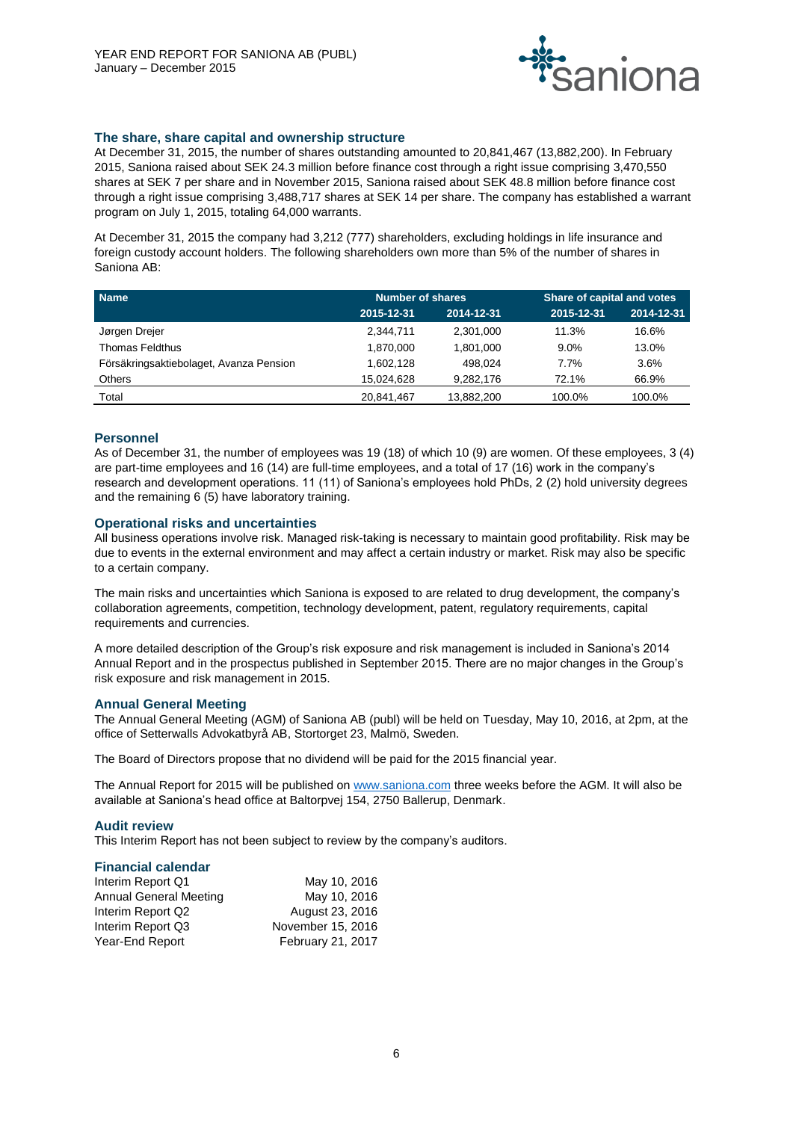

## **The share, share capital and ownership structure**

At December 31, 2015, the number of shares outstanding amounted to 20,841,467 (13,882,200). In February 2015, Saniona raised about SEK 24.3 million before finance cost through a right issue comprising 3,470,550 shares at SEK 7 per share and in November 2015, Saniona raised about SEK 48.8 million before finance cost through a right issue comprising 3,488,717 shares at SEK 14 per share. The company has established a warrant program on July 1, 2015, totaling 64,000 warrants.

At December 31, 2015 the company had 3,212 (777) shareholders, excluding holdings in life insurance and foreign custody account holders. The following shareholders own more than 5% of the number of shares in Saniona AB:

| <b>Name</b>                             | <b>Number of shares</b> |            | Share of capital and votes |            |  |
|-----------------------------------------|-------------------------|------------|----------------------------|------------|--|
|                                         | 2015-12-31              | 2014-12-31 | 2015-12-31                 | 2014-12-31 |  |
| Jørgen Drejer                           | 2,344,711               | 2,301,000  | 11.3%                      | 16.6%      |  |
| Thomas Feldthus                         | 1.870.000               | 1.801.000  | $9.0\%$                    | 13.0%      |  |
| Försäkringsaktiebolaget, Avanza Pension | 1,602,128               | 498.024    | 7.7%                       | 3.6%       |  |
| Others                                  | 15,024,628              | 9,282,176  | 72.1%                      | 66.9%      |  |
| Total                                   | 20,841,467              | 13.882.200 | 100.0%                     | 100.0%     |  |

## **Personnel**

As of December 31, the number of employees was 19 (18) of which 10 (9) are women. Of these employees, 3 (4) are part-time employees and 16 (14) are full-time employees, and a total of 17 (16) work in the company's research and development operations. 11 (11) of Saniona's employees hold PhDs, 2 (2) hold university degrees and the remaining 6 (5) have laboratory training.

## **Operational risks and uncertainties**

All business operations involve risk. Managed risk-taking is necessary to maintain good profitability. Risk may be due to events in the external environment and may affect a certain industry or market. Risk may also be specific to a certain company.

The main risks and uncertainties which Saniona is exposed to are related to drug development, the company's collaboration agreements, competition, technology development, patent, regulatory requirements, capital requirements and currencies.

A more detailed description of the Group's risk exposure and risk management is included in Saniona's 2014 Annual Report and in the prospectus published in September 2015. There are no major changes in the Group's risk exposure and risk management in 2015.

## **Annual General Meeting**

The Annual General Meeting (AGM) of Saniona AB (publ) will be held on Tuesday, May 10, 2016, at 2pm, at the office of Setterwalls Advokatbyrå AB, Stortorget 23, Malmö, Sweden.

The Board of Directors propose that no dividend will be paid for the 2015 financial year.

The Annual Report for 2015 will be published on [www.saniona.com](http://www.saniona.com/) three weeks before the AGM. It will also be available at Saniona's head office at Baltorpvej 154, 2750 Ballerup, Denmark.

## **Audit review**

This Interim Report has not been subject to review by the company's auditors.

## **Financial calendar**

| Interim Report Q1      | May 10, 2016      |
|------------------------|-------------------|
| Annual General Meeting | May 10, 2016      |
| Interim Report Q2      | August 23, 2016   |
| Interim Report Q3      | November 15, 2016 |
| Year-End Report        | February 21, 2017 |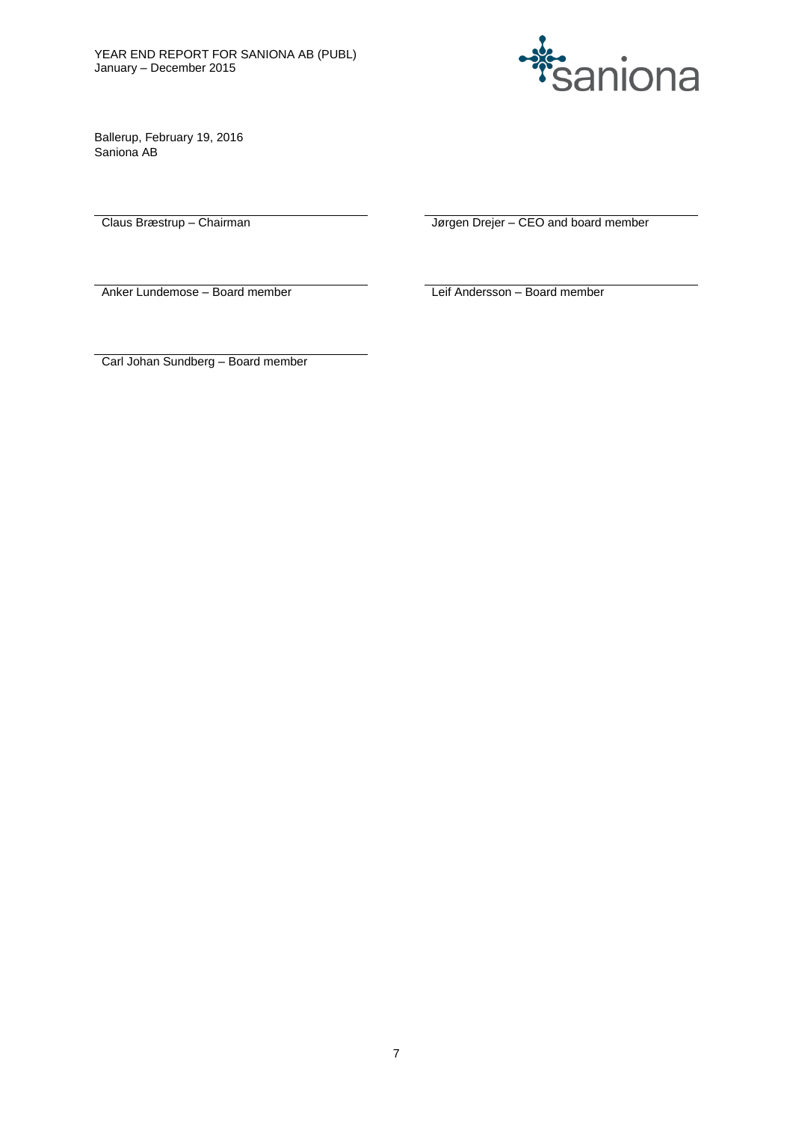

Ballerup, February 19, 2016 Saniona AB

Claus Bræstrup – Chairman Jørgen Drejer – CEO and board member

Anker Lundemose – Board member **Leif Andersson – Board member** Leif Andersson – Board member

Carl Johan Sundberg – Board member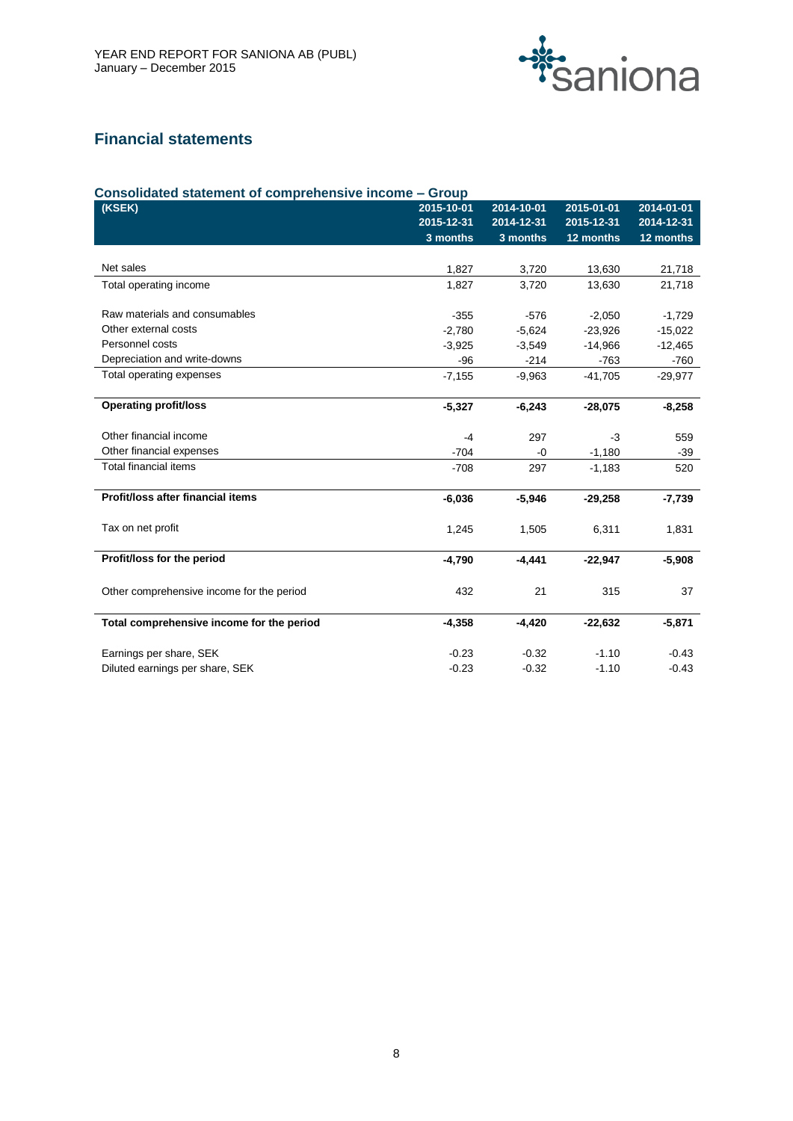

# **Financial statements**

| Consolidated statement of comprehensive income - Group |            |            |            |            |  |
|--------------------------------------------------------|------------|------------|------------|------------|--|
| (KSEK)                                                 | 2015-10-01 | 2014-10-01 | 2015-01-01 | 2014-01-01 |  |
|                                                        | 2015-12-31 | 2014-12-31 | 2015-12-31 | 2014-12-31 |  |
|                                                        | 3 months   | 3 months   | 12 months  | 12 months  |  |
|                                                        |            |            |            |            |  |
| Net sales                                              | 1,827      | 3,720      | 13,630     | 21,718     |  |
| Total operating income                                 | 1,827      | 3,720      | 13,630     | 21,718     |  |
|                                                        |            |            |            |            |  |
| Raw materials and consumables                          | $-355$     | $-576$     | $-2,050$   | $-1,729$   |  |
| Other external costs                                   | $-2.780$   | $-5,624$   | $-23,926$  | $-15,022$  |  |
| Personnel costs                                        | $-3,925$   | $-3,549$   | $-14,966$  | $-12,465$  |  |
| Depreciation and write-downs                           | $-96$      | $-214$     | $-763$     | $-760$     |  |
| Total operating expenses                               | $-7,155$   | $-9,963$   | $-41,705$  | $-29,977$  |  |
|                                                        |            |            |            |            |  |
| <b>Operating profit/loss</b>                           | $-5,327$   | $-6,243$   | $-28,075$  | $-8,258$   |  |
| Other financial income                                 | $-4$       | 297        | $-3$       | 559        |  |
| Other financial expenses                               | $-704$     | $-0$       | $-1,180$   | $-39$      |  |
| Total financial items                                  | $-708$     | 297        | $-1,183$   | 520        |  |
|                                                        |            |            |            |            |  |
| Profit/loss after financial items                      | $-6,036$   | $-5,946$   | $-29,258$  | $-7,739$   |  |
| Tax on net profit                                      | 1,245      | 1,505      | 6,311      | 1,831      |  |
|                                                        |            |            |            |            |  |
| Profit/loss for the period                             | $-4,790$   | $-4,441$   | $-22,947$  | $-5,908$   |  |
|                                                        |            |            |            |            |  |
| Other comprehensive income for the period              | 432        | 21         | 315        | 37         |  |
| Total comprehensive income for the period              | $-4,358$   | $-4,420$   | $-22,632$  | $-5,871$   |  |
|                                                        |            |            |            |            |  |
| Earnings per share, SEK                                | $-0.23$    | $-0.32$    | $-1.10$    | $-0.43$    |  |
| Diluted earnings per share, SEK                        | $-0.23$    | $-0.32$    | $-1.10$    | $-0.43$    |  |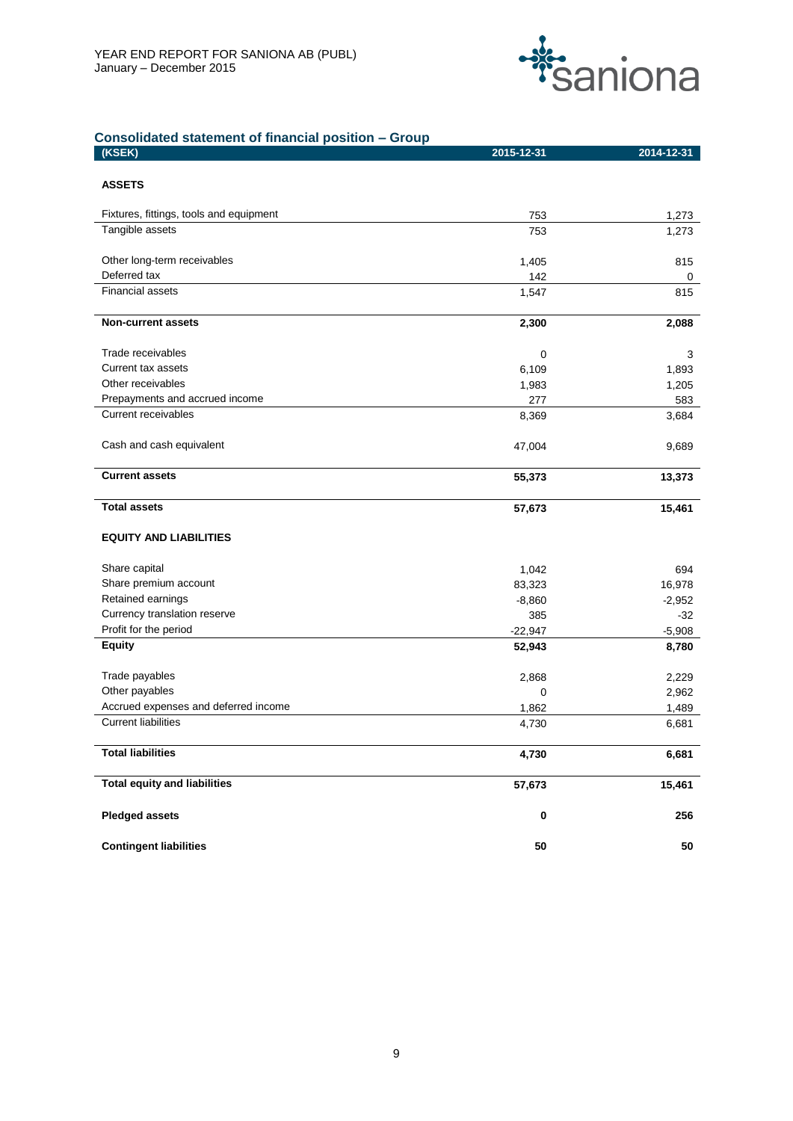

## **Consolidated statement of financial position – Group**

| (KSEK)                                  | 2015-12-31 | 2014-12-31 |
|-----------------------------------------|------------|------------|
| <b>ASSETS</b>                           |            |            |
| Fixtures, fittings, tools and equipment | 753        | 1,273      |
| Tangible assets                         | 753        | 1,273      |
| Other long-term receivables             | 1,405      | 815        |
| Deferred tax                            | 142        | 0          |
| Financial assets                        | 1,547      | 815        |
| <b>Non-current assets</b>               | 2,300      | 2,088      |
| Trade receivables                       | 0          | 3          |
| Current tax assets                      | 6,109      | 1,893      |
| Other receivables                       | 1,983      | 1,205      |
| Prepayments and accrued income          | 277        | 583        |
| <b>Current receivables</b>              | 8,369      | 3,684      |
| Cash and cash equivalent                | 47,004     | 9,689      |
| <b>Current assets</b>                   | 55,373     | 13,373     |
| <b>Total assets</b>                     | 57,673     | 15,461     |
| <b>EQUITY AND LIABILITIES</b>           |            |            |
| Share capital                           | 1,042      | 694        |
| Share premium account                   | 83,323     | 16,978     |
| Retained earnings                       | $-8,860$   | $-2,952$   |
| Currency translation reserve            | 385        | $-32$      |
| Profit for the period                   | $-22,947$  | $-5,908$   |
| <b>Equity</b>                           | 52,943     | 8,780      |
| Trade payables                          | 2,868      | 2,229      |
| Other payables                          | 0          | 2,962      |
| Accrued expenses and deferred income    | 1,862      | 1,489      |
| <b>Current liabilities</b>              | 4,730      | 6,681      |
| <b>Total liabilities</b>                | 4,730      | 6,681      |
| <b>Total equity and liabilities</b>     | 57,673     | 15,461     |
| <b>Pledged assets</b>                   | $\pmb{0}$  | 256        |
| <b>Contingent liabilities</b>           | 50         | ${\bf 50}$ |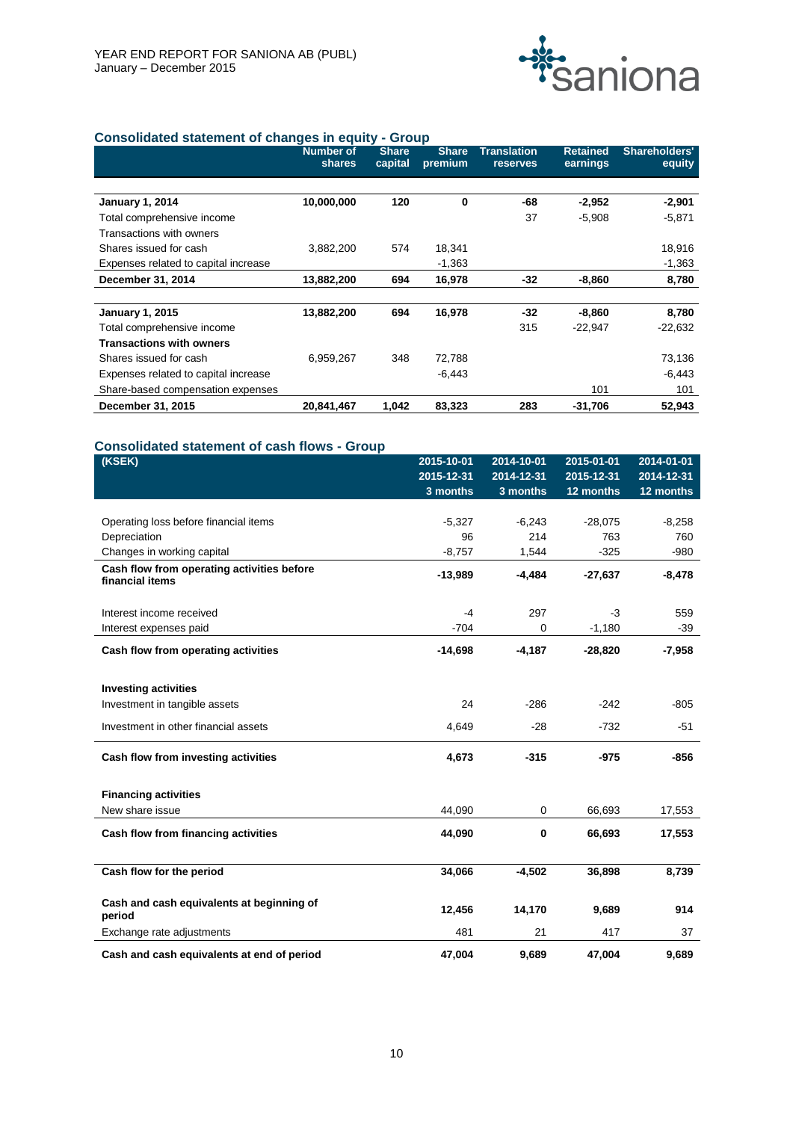

## **Consolidated statement of changes in equity - Group**

|                                      | <b>Number of</b><br>shares | <b>Share</b><br>capital | <b>Share</b><br>premium | <b>Translation</b><br>reserves | <b>Retained</b><br>earnings | Shareholders'<br>equity |
|--------------------------------------|----------------------------|-------------------------|-------------------------|--------------------------------|-----------------------------|-------------------------|
|                                      |                            |                         |                         |                                |                             |                         |
| <b>January 1, 2014</b>               | 10,000,000                 | 120                     | $\bf{0}$                | -68                            | $-2,952$                    | $-2,901$                |
| Total comprehensive income           |                            |                         |                         | 37                             | $-5,908$                    | $-5,871$                |
| Transactions with owners             |                            |                         |                         |                                |                             |                         |
| Shares issued for cash               | 3,882,200                  | 574                     | 18,341                  |                                |                             | 18,916                  |
| Expenses related to capital increase |                            |                         | $-1,363$                |                                |                             | $-1,363$                |
| December 31, 2014                    | 13,882,200                 | 694                     | 16,978                  | -32                            | $-8,860$                    | 8,780                   |
|                                      |                            |                         |                         |                                |                             |                         |
| <b>January 1, 2015</b>               | 13,882,200                 | 694                     | 16,978                  | -32                            | $-8,860$                    | 8,780                   |
| Total comprehensive income           |                            |                         |                         | 315                            | $-22,947$                   | $-22,632$               |
| <b>Transactions with owners</b>      |                            |                         |                         |                                |                             |                         |
| Shares issued for cash               | 6,959,267                  | 348                     | 72,788                  |                                |                             | 73,136                  |
| Expenses related to capital increase |                            |                         | $-6,443$                |                                |                             | $-6,443$                |
| Share-based compensation expenses    |                            |                         |                         |                                | 101                         | 101                     |
| December 31, 2015                    | 20,841,467                 | 1,042                   | 83,323                  | 283                            | -31,706                     | 52,943                  |

## **Consolidated statement of cash flows - Group**

| (KSEK)                                                        | 2015-10-01 | 2014-10-01  | 2015-01-01 | 2014-01-01 |
|---------------------------------------------------------------|------------|-------------|------------|------------|
|                                                               | 2015-12-31 | 2014-12-31  | 2015-12-31 | 2014-12-31 |
|                                                               | 3 months   | 3 months    | 12 months  | 12 months  |
|                                                               |            |             |            |            |
| Operating loss before financial items                         | $-5,327$   | $-6,243$    | $-28,075$  | $-8,258$   |
| Depreciation                                                  | 96         | 214         | 763        | 760        |
| Changes in working capital                                    | $-8,757$   | 1,544       | $-325$     | $-980$     |
| Cash flow from operating activities before<br>financial items | $-13,989$  | $-4,484$    | $-27,637$  | $-8,478$   |
| Interest income received                                      | $-4$       | 297         | -3         | 559        |
| Interest expenses paid                                        | $-704$     | 0           | $-1,180$   | $-39$      |
| Cash flow from operating activities                           | $-14,698$  | $-4,187$    | $-28,820$  | $-7,958$   |
| <b>Investing activities</b>                                   |            |             |            |            |
| Investment in tangible assets                                 | 24         | $-286$      | $-242$     | $-805$     |
| Investment in other financial assets                          | 4,649      | $-28$       | $-732$     | $-51$      |
| Cash flow from investing activities                           | 4,673      | $-315$      | $-975$     | $-856$     |
| <b>Financing activities</b>                                   |            |             |            |            |
| New share issue                                               | 44,090     | $\mathbf 0$ | 66,693     | 17,553     |
| Cash flow from financing activities                           | 44,090     | 0           | 66,693     | 17,553     |
| Cash flow for the period                                      | 34,066     | $-4,502$    | 36,898     | 8,739      |
| Cash and cash equivalents at beginning of<br>period           | 12,456     | 14,170      | 9,689      | 914        |
| Exchange rate adjustments                                     | 481        | 21          | 417        | 37         |
| Cash and cash equivalents at end of period                    | 47.004     | 9.689       | 47.004     | 9.689      |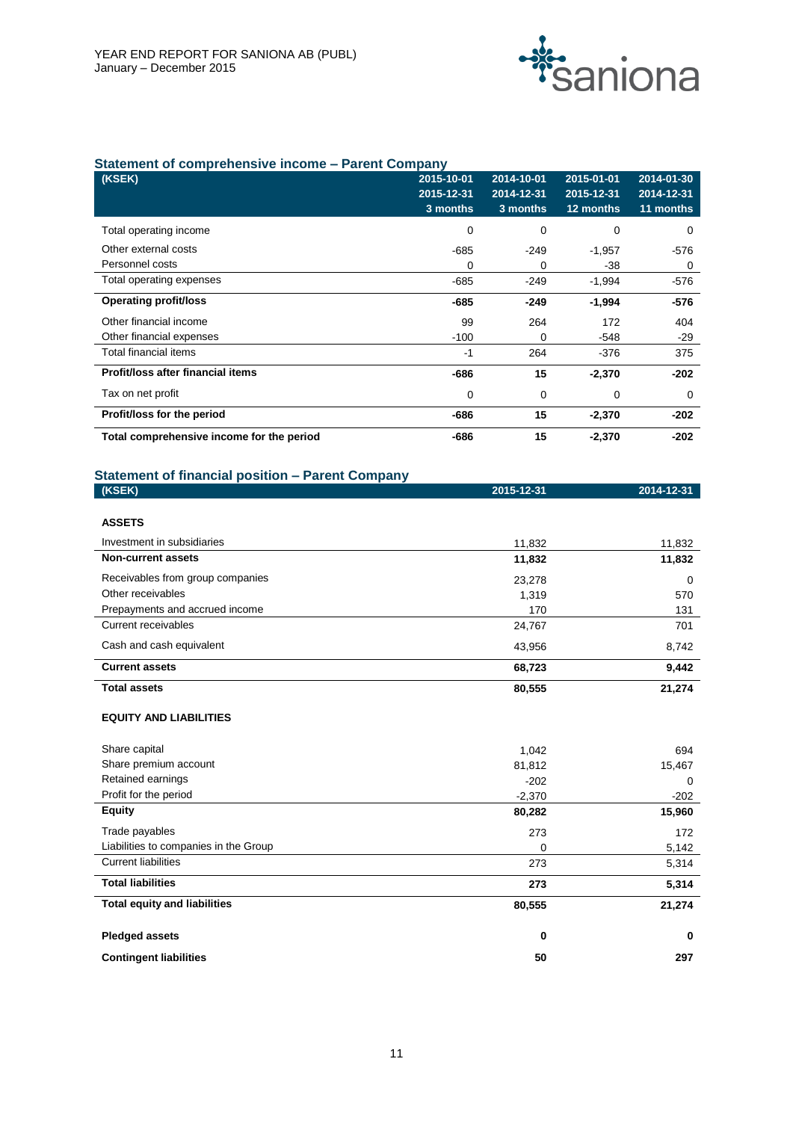

## **Statement of comprehensive income – Parent Company**

| (KSEK)                                    | 2015-10-01 | 2014-10-01 | 2015-01-01 | 2014-01-30 |
|-------------------------------------------|------------|------------|------------|------------|
|                                           | 2015-12-31 | 2014-12-31 | 2015-12-31 | 2014-12-31 |
|                                           | 3 months   | $3$ months | 12 months  | 11 months  |
| Total operating income                    | 0          | 0          | 0          | 0          |
| Other external costs                      | $-685$     | -249       | $-1,957$   | -576       |
| Personnel costs                           | 0          | 0          | -38        | 0          |
| Total operating expenses                  | $-685$     | $-249$     | $-1,994$   | $-576$     |
| <b>Operating profit/loss</b>              | -685       | $-249$     | $-1,994$   | -576       |
| Other financial income                    | 99         | 264        | 172        | 404        |
| Other financial expenses                  | $-100$     | 0          | $-548$     | -29        |
| <b>Total financial items</b>              | -1         | 264        | -376       | 375        |
| Profit/loss after financial items         | -686       | 15         | $-2,370$   | $-202$     |
| Tax on net profit                         | 0          | 0          | 0          | 0          |
| Profit/loss for the period                | -686       | 15         | $-2,370$   | $-202$     |
| Total comprehensive income for the period | -686       | 15         | $-2,370$   | -202       |

## **Statement of financial position – Parent Company**

| (KSEK)                                | 2015-12-31 | 2014-12-31 |
|---------------------------------------|------------|------------|
|                                       |            |            |
| <b>ASSETS</b>                         |            |            |
| Investment in subsidiaries            | 11,832     | 11,832     |
| <b>Non-current assets</b>             | 11,832     | 11,832     |
| Receivables from group companies      | 23,278     | $\Omega$   |
| Other receivables                     | 1,319      | 570        |
| Prepayments and accrued income        | 170        | 131        |
| <b>Current receivables</b>            | 24,767     | 701        |
| Cash and cash equivalent              | 43,956     | 8,742      |
| <b>Current assets</b>                 | 68,723     | 9,442      |
| <b>Total assets</b>                   | 80,555     | 21,274     |
| <b>EQUITY AND LIABILITIES</b>         |            |            |
| Share capital                         | 1,042      | 694        |
| Share premium account                 | 81,812     | 15,467     |
| Retained earnings                     | $-202$     | $\Omega$   |
| Profit for the period                 | $-2,370$   | $-202$     |
| <b>Equity</b>                         | 80,282     | 15,960     |
| Trade payables                        | 273        | 172        |
| Liabilities to companies in the Group | 0          | 5,142      |
| <b>Current liabilities</b>            | 273        | 5,314      |
|                                       |            |            |

| <b>Total liabilities</b>            | 273    | 5,314  |
|-------------------------------------|--------|--------|
| <b>Total equity and liabilities</b> | 80,555 | 21,274 |
| <b>Pledged assets</b>               | 0      | 0      |
| <b>Contingent liabilities</b>       | 50     | 297    |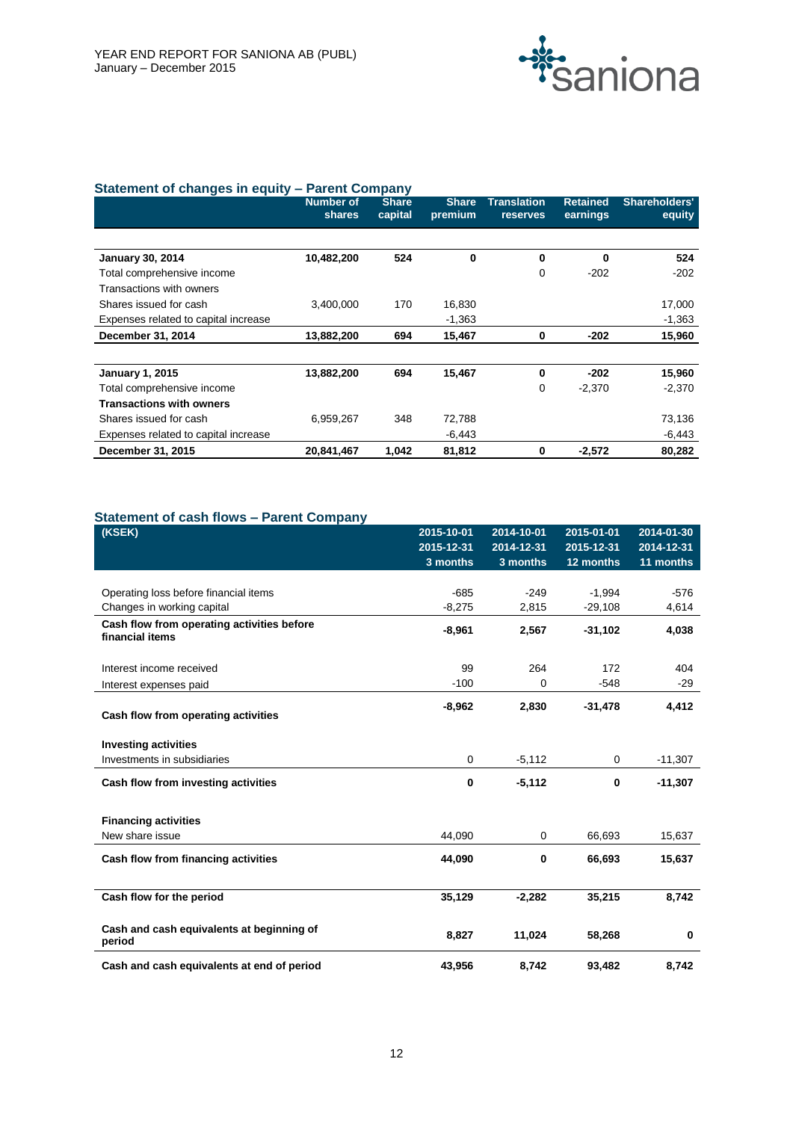

|                                      | <b>Number of</b><br><b>shares</b> | <b>Share</b><br>capital | <b>Share</b><br>premium | <b>Translation</b><br><b>reserves</b> | <b>Retained</b><br>earnings | <b>Shareholders'</b><br>equity |
|--------------------------------------|-----------------------------------|-------------------------|-------------------------|---------------------------------------|-----------------------------|--------------------------------|
|                                      |                                   |                         |                         |                                       |                             |                                |
| <b>January 30, 2014</b>              | 10,482,200                        | 524                     | $\bf{0}$                | 0                                     | 0                           | 524                            |
| Total comprehensive income           |                                   |                         |                         | 0                                     | $-202$                      | $-202$                         |
| Transactions with owners             |                                   |                         |                         |                                       |                             |                                |
| Shares issued for cash               | 3,400,000                         | 170                     | 16,830                  |                                       |                             | 17,000                         |
| Expenses related to capital increase |                                   |                         | $-1,363$                |                                       |                             | $-1,363$                       |
| December 31, 2014                    | 13,882,200                        | 694                     | 15,467                  | 0                                     | $-202$                      | 15,960                         |
| <b>January 1, 2015</b>               | 13,882,200                        | 694                     | 15,467                  | 0                                     | $-202$                      | 15,960                         |
| Total comprehensive income           |                                   |                         |                         | $\mathbf 0$                           | $-2,370$                    | $-2,370$                       |
| <b>Transactions with owners</b>      |                                   |                         |                         |                                       |                             |                                |
| Shares issued for cash               | 6,959,267                         | 348                     | 72,788                  |                                       |                             | 73,136                         |
| Expenses related to capital increase |                                   |                         | $-6,443$                |                                       |                             | -6,443                         |
| December 31, 2015                    | 20,841,467                        | 1,042                   | 81,812                  | $\bf{0}$                              | $-2,572$                    | 80,282                         |

## **Statement of cash flows – Parent Company**

| (KSEK)                                                        | 2015-10-01<br>2015-12-31<br>3 months | 2014-10-01<br>2014-12-31<br>3 months | $2015 - 01 - 01$<br>2015-12-31<br>12 months | 2014-01-30<br>2014-12-31<br>11 months |
|---------------------------------------------------------------|--------------------------------------|--------------------------------------|---------------------------------------------|---------------------------------------|
|                                                               |                                      |                                      |                                             |                                       |
| Operating loss before financial items                         | $-685$                               | $-249$                               | $-1,994$                                    | $-576$                                |
| Changes in working capital                                    | $-8,275$                             | 2,815                                | $-29,108$                                   | 4,614                                 |
| Cash flow from operating activities before<br>financial items | $-8,961$                             | 2,567                                | $-31,102$                                   | 4,038                                 |
| Interest income received                                      | 99                                   | 264                                  | 172                                         | 404                                   |
| Interest expenses paid                                        | $-100$                               | 0                                    | $-548$                                      | $-29$                                 |
| Cash flow from operating activities                           | $-8,962$                             | 2,830                                | $-31,478$                                   | 4,412                                 |
| <b>Investing activities</b>                                   |                                      |                                      |                                             |                                       |
| Investments in subsidiaries                                   | 0                                    | $-5,112$                             | $\mathbf 0$                                 | $-11,307$                             |
| Cash flow from investing activities                           | $\bf{0}$                             | $-5,112$                             | $\mathbf 0$                                 | $-11,307$                             |
| <b>Financing activities</b>                                   |                                      |                                      |                                             |                                       |
| New share issue                                               | 44,090                               | $\mathbf 0$                          | 66,693                                      | 15,637                                |
| Cash flow from financing activities                           | 44.090                               | $\bf{0}$                             | 66,693                                      | 15,637                                |
| Cash flow for the period                                      | 35,129                               | $-2,282$                             | 35,215                                      | 8,742                                 |
| Cash and cash equivalents at beginning of<br>period           | 8,827                                | 11,024                               | 58,268                                      | 0                                     |
| Cash and cash equivalents at end of period                    | 43,956                               | 8,742                                | 93,482                                      | 8,742                                 |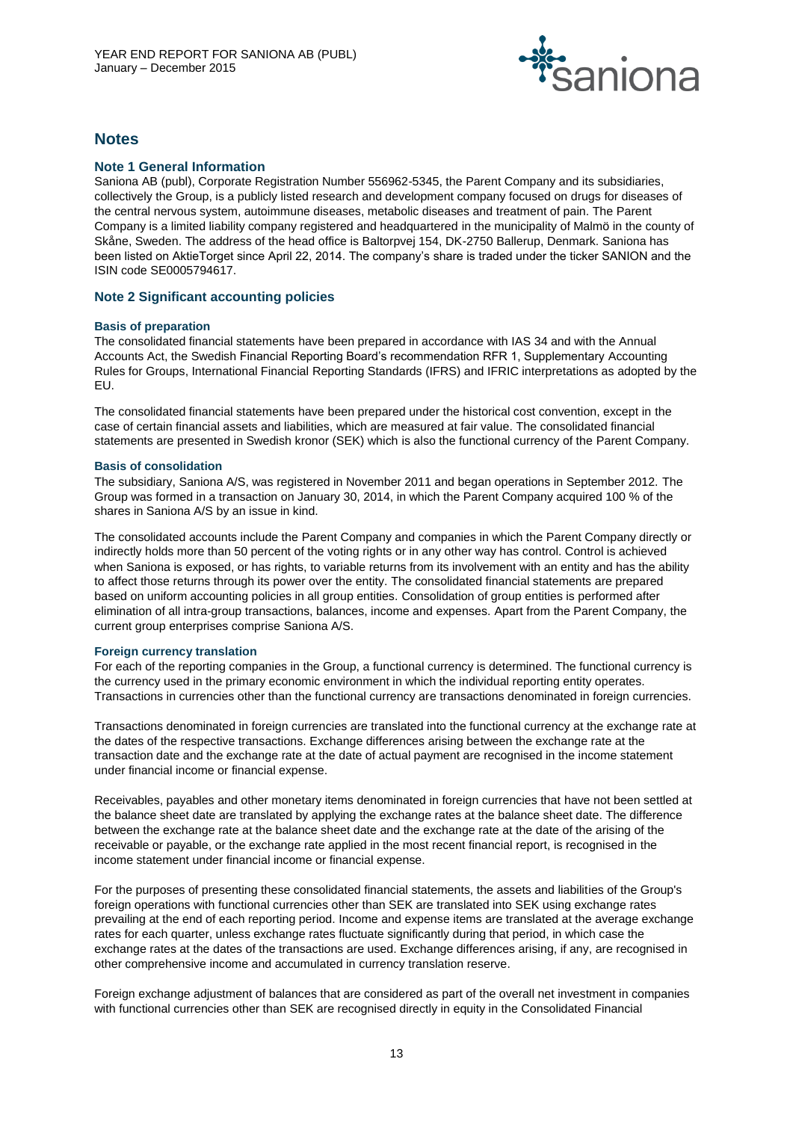

## **Notes**

## **Note 1 General Information**

Saniona AB (publ), Corporate Registration Number 556962-5345, the Parent Company and its subsidiaries, collectively the Group, is a publicly listed research and development company focused on drugs for diseases of the central nervous system, autoimmune diseases, metabolic diseases and treatment of pain. The Parent Company is a limited liability company registered and headquartered in the municipality of Malmö in the county of Skåne, Sweden. The address of the head office is Baltorpvej 154, DK-2750 Ballerup, Denmark. Saniona has been listed on AktieTorget since April 22, 2014. The company's share is traded under the ticker SANION and the ISIN code SE0005794617.

## **Note 2 Significant accounting policies**

### **Basis of preparation**

The consolidated financial statements have been prepared in accordance with IAS 34 and with the Annual Accounts Act, the Swedish Financial Reporting Board's recommendation RFR 1, Supplementary Accounting Rules for Groups, International Financial Reporting Standards (IFRS) and IFRIC interpretations as adopted by the EU.

The consolidated financial statements have been prepared under the historical cost convention, except in the case of certain financial assets and liabilities, which are measured at fair value. The consolidated financial statements are presented in Swedish kronor (SEK) which is also the functional currency of the Parent Company.

### **Basis of consolidation**

The subsidiary, Saniona A/S, was registered in November 2011 and began operations in September 2012. The Group was formed in a transaction on January 30, 2014, in which the Parent Company acquired 100 % of the shares in Saniona A/S by an issue in kind.

The consolidated accounts include the Parent Company and companies in which the Parent Company directly or indirectly holds more than 50 percent of the voting rights or in any other way has control. Control is achieved when Saniona is exposed, or has rights, to variable returns from its involvement with an entity and has the ability to affect those returns through its power over the entity. The consolidated financial statements are prepared based on uniform accounting policies in all group entities. Consolidation of group entities is performed after elimination of all intra-group transactions, balances, income and expenses. Apart from the Parent Company, the current group enterprises comprise Saniona A/S.

#### **Foreign currency translation**

For each of the reporting companies in the Group, a functional currency is determined. The functional currency is the currency used in the primary economic environment in which the individual reporting entity operates. Transactions in currencies other than the functional currency are transactions denominated in foreign currencies.

Transactions denominated in foreign currencies are translated into the functional currency at the exchange rate at the dates of the respective transactions. Exchange differences arising between the exchange rate at the transaction date and the exchange rate at the date of actual payment are recognised in the income statement under financial income or financial expense.

Receivables, payables and other monetary items denominated in foreign currencies that have not been settled at the balance sheet date are translated by applying the exchange rates at the balance sheet date. The difference between the exchange rate at the balance sheet date and the exchange rate at the date of the arising of the receivable or payable, or the exchange rate applied in the most recent financial report, is recognised in the income statement under financial income or financial expense.

For the purposes of presenting these consolidated financial statements, the assets and liabilities of the Group's foreign operations with functional currencies other than SEK are translated into SEK using exchange rates prevailing at the end of each reporting period. Income and expense items are translated at the average exchange rates for each quarter, unless exchange rates fluctuate significantly during that period, in which case the exchange rates at the dates of the transactions are used. Exchange differences arising, if any, are recognised in other comprehensive income and accumulated in currency translation reserve.

Foreign exchange adjustment of balances that are considered as part of the overall net investment in companies with functional currencies other than SEK are recognised directly in equity in the Consolidated Financial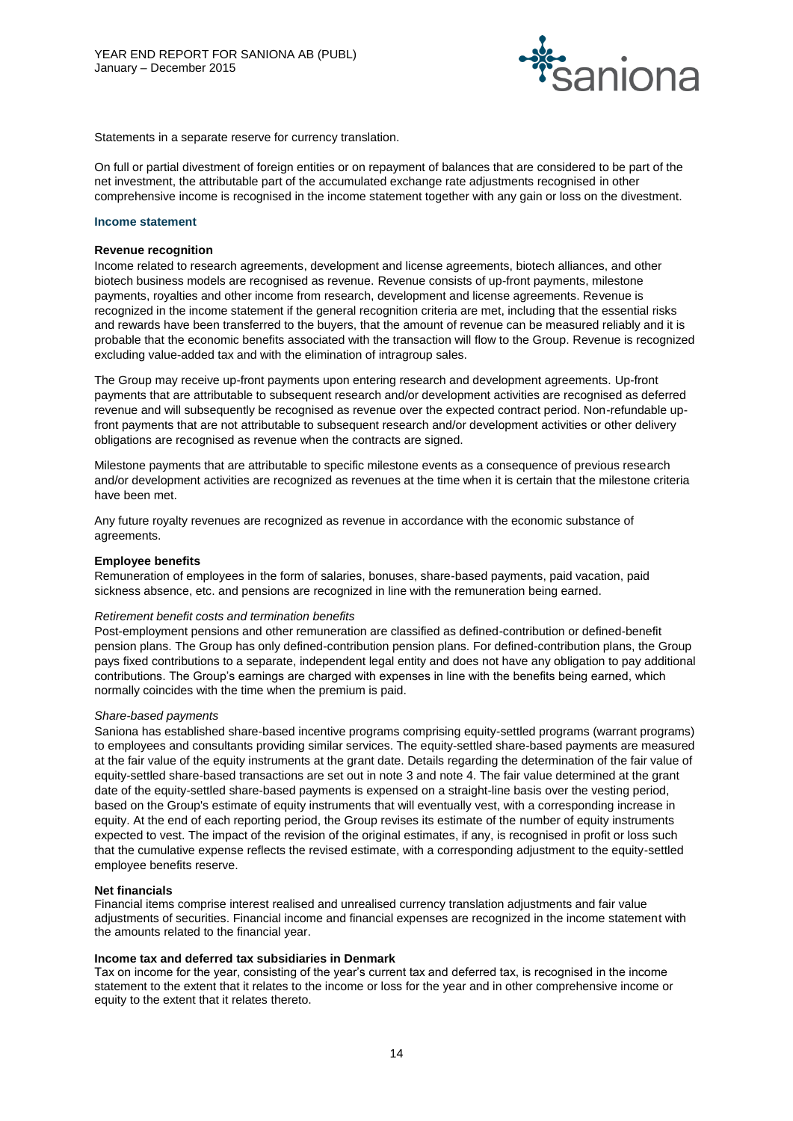

Statements in a separate reserve for currency translation.

On full or partial divestment of foreign entities or on repayment of balances that are considered to be part of the net investment, the attributable part of the accumulated exchange rate adjustments recognised in other comprehensive income is recognised in the income statement together with any gain or loss on the divestment.

#### **Income statement**

#### **Revenue recognition**

Income related to research agreements, development and license agreements, biotech alliances, and other biotech business models are recognised as revenue. Revenue consists of up-front payments, milestone payments, royalties and other income from research, development and license agreements. Revenue is recognized in the income statement if the general recognition criteria are met, including that the essential risks and rewards have been transferred to the buyers, that the amount of revenue can be measured reliably and it is probable that the economic benefits associated with the transaction will flow to the Group. Revenue is recognized excluding value-added tax and with the elimination of intragroup sales.

The Group may receive up-front payments upon entering research and development agreements. Up-front payments that are attributable to subsequent research and/or development activities are recognised as deferred revenue and will subsequently be recognised as revenue over the expected contract period. Non-refundable upfront payments that are not attributable to subsequent research and/or development activities or other delivery obligations are recognised as revenue when the contracts are signed.

Milestone payments that are attributable to specific milestone events as a consequence of previous research and/or development activities are recognized as revenues at the time when it is certain that the milestone criteria have been met.

Any future royalty revenues are recognized as revenue in accordance with the economic substance of agreements.

#### **Employee benefits**

Remuneration of employees in the form of salaries, bonuses, share-based payments, paid vacation, paid sickness absence, etc. and pensions are recognized in line with the remuneration being earned.

#### *Retirement benefit costs and termination benefits*

Post-employment pensions and other remuneration are classified as defined-contribution or defined-benefit pension plans. The Group has only defined-contribution pension plans. For defined-contribution plans, the Group pays fixed contributions to a separate, independent legal entity and does not have any obligation to pay additional contributions. The Group's earnings are charged with expenses in line with the benefits being earned, which normally coincides with the time when the premium is paid.

#### *Share-based payments*

Saniona has established share-based incentive programs comprising equity-settled programs (warrant programs) to employees and consultants providing similar services. The equity-settled share-based payments are measured at the fair value of the equity instruments at the grant date. Details regarding the determination of the fair value of equity-settled share-based transactions are set out in note 3 and note 4. The fair value determined at the grant date of the equity-settled share-based payments is expensed on a straight-line basis over the vesting period, based on the Group's estimate of equity instruments that will eventually vest, with a corresponding increase in equity. At the end of each reporting period, the Group revises its estimate of the number of equity instruments expected to vest. The impact of the revision of the original estimates, if any, is recognised in profit or loss such that the cumulative expense reflects the revised estimate, with a corresponding adjustment to the equity-settled employee benefits reserve.

#### **Net financials**

Financial items comprise interest realised and unrealised currency translation adjustments and fair value adjustments of securities. Financial income and financial expenses are recognized in the income statement with the amounts related to the financial year.

#### **Income tax and deferred tax subsidiaries in Denmark**

Tax on income for the year, consisting of the year's current tax and deferred tax, is recognised in the income statement to the extent that it relates to the income or loss for the year and in other comprehensive income or equity to the extent that it relates thereto.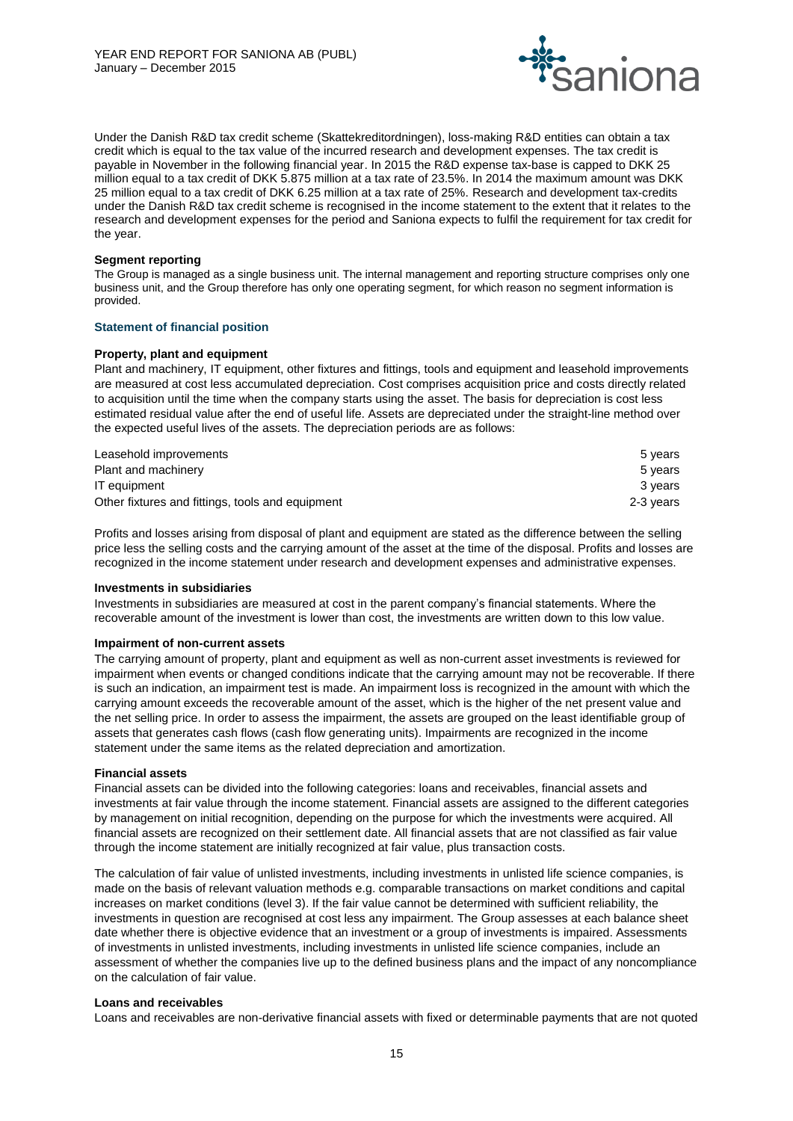

Under the Danish R&D tax credit scheme (Skattekreditordningen), loss-making R&D entities can obtain a tax credit which is equal to the tax value of the incurred research and development expenses. The tax credit is payable in November in the following financial year. In 2015 the R&D expense tax-base is capped to DKK 25 million equal to a tax credit of DKK 5.875 million at a tax rate of 23.5%. In 2014 the maximum amount was DKK 25 million equal to a tax credit of DKK 6.25 million at a tax rate of 25%. Research and development tax-credits under the Danish R&D tax credit scheme is recognised in the income statement to the extent that it relates to the research and development expenses for the period and Saniona expects to fulfil the requirement for tax credit for the year.

#### **Segment reporting**

The Group is managed as a single business unit. The internal management and reporting structure comprises only one business unit, and the Group therefore has only one operating segment, for which reason no segment information is provided.

#### **Statement of financial position**

#### **Property, plant and equipment**

Plant and machinery, IT equipment, other fixtures and fittings, tools and equipment and leasehold improvements are measured at cost less accumulated depreciation. Cost comprises acquisition price and costs directly related to acquisition until the time when the company starts using the asset. The basis for depreciation is cost less estimated residual value after the end of useful life. Assets are depreciated under the straight-line method over the expected useful lives of the assets. The depreciation periods are as follows:

| Leasehold improvements                           | 5 vears   |
|--------------------------------------------------|-----------|
| Plant and machinery                              | 5 vears   |
| IT equipment                                     | 3 vears   |
| Other fixtures and fittings, tools and equipment | 2-3 vears |

Profits and losses arising from disposal of plant and equipment are stated as the difference between the selling price less the selling costs and the carrying amount of the asset at the time of the disposal. Profits and losses are recognized in the income statement under research and development expenses and administrative expenses.

#### **Investments in subsidiaries**

Investments in subsidiaries are measured at cost in the parent company's financial statements. Where the recoverable amount of the investment is lower than cost, the investments are written down to this low value.

#### **Impairment of non-current assets**

The carrying amount of property, plant and equipment as well as non-current asset investments is reviewed for impairment when events or changed conditions indicate that the carrying amount may not be recoverable. If there is such an indication, an impairment test is made. An impairment loss is recognized in the amount with which the carrying amount exceeds the recoverable amount of the asset, which is the higher of the net present value and the net selling price. In order to assess the impairment, the assets are grouped on the least identifiable group of assets that generates cash flows (cash flow generating units). Impairments are recognized in the income statement under the same items as the related depreciation and amortization.

#### **Financial assets**

Financial assets can be divided into the following categories: loans and receivables, financial assets and investments at fair value through the income statement. Financial assets are assigned to the different categories by management on initial recognition, depending on the purpose for which the investments were acquired. All financial assets are recognized on their settlement date. All financial assets that are not classified as fair value through the income statement are initially recognized at fair value, plus transaction costs.

The calculation of fair value of unlisted investments, including investments in unlisted life science companies, is made on the basis of relevant valuation methods e.g. comparable transactions on market conditions and capital increases on market conditions (level 3). If the fair value cannot be determined with sufficient reliability, the investments in question are recognised at cost less any impairment. The Group assesses at each balance sheet date whether there is objective evidence that an investment or a group of investments is impaired. Assessments of investments in unlisted investments, including investments in unlisted life science companies, include an assessment of whether the companies live up to the defined business plans and the impact of any noncompliance on the calculation of fair value.

#### **Loans and receivables**

Loans and receivables are non-derivative financial assets with fixed or determinable payments that are not quoted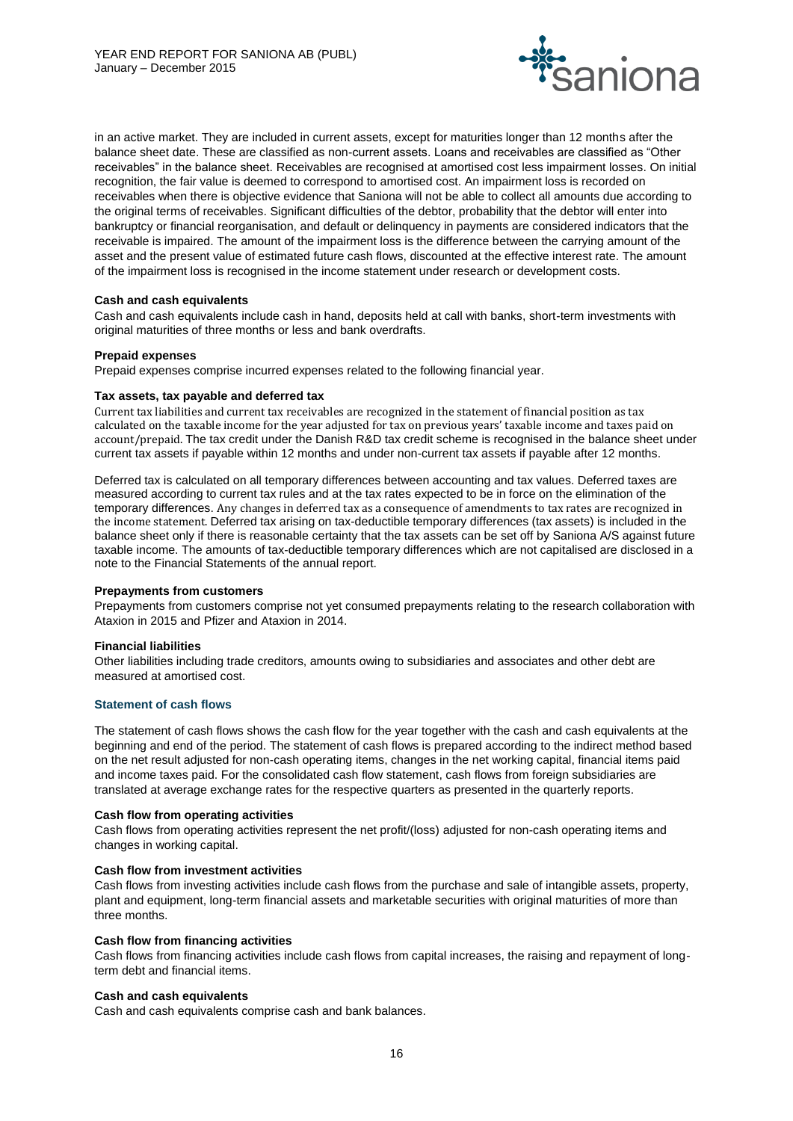

in an active market. They are included in current assets, except for maturities longer than 12 months after the balance sheet date. These are classified as non-current assets. Loans and receivables are classified as "Other receivables" in the balance sheet. Receivables are recognised at amortised cost less impairment losses. On initial recognition, the fair value is deemed to correspond to amortised cost. An impairment loss is recorded on receivables when there is objective evidence that Saniona will not be able to collect all amounts due according to the original terms of receivables. Significant difficulties of the debtor, probability that the debtor will enter into bankruptcy or financial reorganisation, and default or delinquency in payments are considered indicators that the receivable is impaired. The amount of the impairment loss is the difference between the carrying amount of the asset and the present value of estimated future cash flows, discounted at the effective interest rate. The amount of the impairment loss is recognised in the income statement under research or development costs.

#### **Cash and cash equivalents**

Cash and cash equivalents include cash in hand, deposits held at call with banks, short-term investments with original maturities of three months or less and bank overdrafts.

#### **Prepaid expenses**

Prepaid expenses comprise incurred expenses related to the following financial year.

#### **Tax assets, tax payable and deferred tax**

Current tax liabilities and current tax receivables are recognized in the statement of financial position as tax calculated on the taxable income for the year adjusted for tax on previous years' taxable income and taxes paid on account/prepaid. The tax credit under the Danish R&D tax credit scheme is recognised in the balance sheet under current tax assets if payable within 12 months and under non-current tax assets if payable after 12 months.

Deferred tax is calculated on all temporary differences between accounting and tax values. Deferred taxes are measured according to current tax rules and at the tax rates expected to be in force on the elimination of the temporary differences. Any changes in deferred tax as a consequence of amendments to tax rates are recognized in the income statement. Deferred tax arising on tax-deductible temporary differences (tax assets) is included in the balance sheet only if there is reasonable certainty that the tax assets can be set off by Saniona A/S against future taxable income. The amounts of tax-deductible temporary differences which are not capitalised are disclosed in a note to the Financial Statements of the annual report.

#### **Prepayments from customers**

Prepayments from customers comprise not yet consumed prepayments relating to the research collaboration with Ataxion in 2015 and Pfizer and Ataxion in 2014.

#### **Financial liabilities**

Other liabilities including trade creditors, amounts owing to subsidiaries and associates and other debt are measured at amortised cost.

#### **Statement of cash flows**

The statement of cash flows shows the cash flow for the year together with the cash and cash equivalents at the beginning and end of the period. The statement of cash flows is prepared according to the indirect method based on the net result adjusted for non-cash operating items, changes in the net working capital, financial items paid and income taxes paid. For the consolidated cash flow statement, cash flows from foreign subsidiaries are translated at average exchange rates for the respective quarters as presented in the quarterly reports.

#### **Cash flow from operating activities**

Cash flows from operating activities represent the net profit/(loss) adjusted for non-cash operating items and changes in working capital.

#### **Cash flow from investment activities**

Cash flows from investing activities include cash flows from the purchase and sale of intangible assets, property, plant and equipment, long-term financial assets and marketable securities with original maturities of more than three months.

#### **Cash flow from financing activities**

Cash flows from financing activities include cash flows from capital increases, the raising and repayment of longterm debt and financial items.

#### **Cash and cash equivalents**

Cash and cash equivalents comprise cash and bank balances.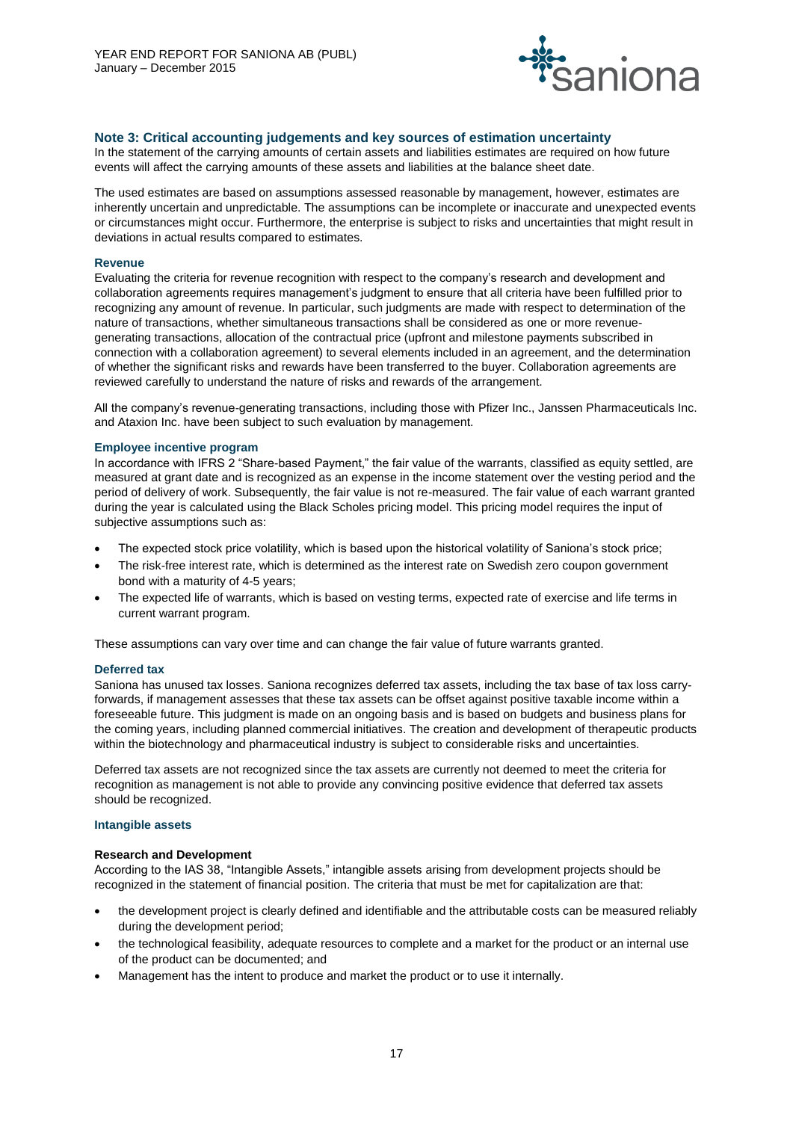

### **Note 3: Critical accounting judgements and key sources of estimation uncertainty**

In the statement of the carrying amounts of certain assets and liabilities estimates are required on how future events will affect the carrying amounts of these assets and liabilities at the balance sheet date.

The used estimates are based on assumptions assessed reasonable by management, however, estimates are inherently uncertain and unpredictable. The assumptions can be incomplete or inaccurate and unexpected events or circumstances might occur. Furthermore, the enterprise is subject to risks and uncertainties that might result in deviations in actual results compared to estimates.

#### **Revenue**

Evaluating the criteria for revenue recognition with respect to the company's research and development and collaboration agreements requires management's judgment to ensure that all criteria have been fulfilled prior to recognizing any amount of revenue. In particular, such judgments are made with respect to determination of the nature of transactions, whether simultaneous transactions shall be considered as one or more revenuegenerating transactions, allocation of the contractual price (upfront and milestone payments subscribed in connection with a collaboration agreement) to several elements included in an agreement, and the determination of whether the significant risks and rewards have been transferred to the buyer. Collaboration agreements are reviewed carefully to understand the nature of risks and rewards of the arrangement.

All the company's revenue-generating transactions, including those with Pfizer Inc., Janssen Pharmaceuticals Inc. and Ataxion Inc. have been subject to such evaluation by management.

#### **Employee incentive program**

In accordance with IFRS 2 "Share-based Payment," the fair value of the warrants, classified as equity settled, are measured at grant date and is recognized as an expense in the income statement over the vesting period and the period of delivery of work. Subsequently, the fair value is not re-measured. The fair value of each warrant granted during the year is calculated using the Black Scholes pricing model. This pricing model requires the input of subjective assumptions such as:

- The expected stock price volatility, which is based upon the historical volatility of Saniona's stock price;
- The risk-free interest rate, which is determined as the interest rate on Swedish zero coupon government bond with a maturity of 4-5 years;
- The expected life of warrants, which is based on vesting terms, expected rate of exercise and life terms in current warrant program.

These assumptions can vary over time and can change the fair value of future warrants granted.

#### **Deferred tax**

Saniona has unused tax losses. Saniona recognizes deferred tax assets, including the tax base of tax loss carryforwards, if management assesses that these tax assets can be offset against positive taxable income within a foreseeable future. This judgment is made on an ongoing basis and is based on budgets and business plans for the coming years, including planned commercial initiatives. The creation and development of therapeutic products within the biotechnology and pharmaceutical industry is subject to considerable risks and uncertainties.

Deferred tax assets are not recognized since the tax assets are currently not deemed to meet the criteria for recognition as management is not able to provide any convincing positive evidence that deferred tax assets should be recognized.

#### **Intangible assets**

#### **Research and Development**

According to the IAS 38, "Intangible Assets," intangible assets arising from development projects should be recognized in the statement of financial position. The criteria that must be met for capitalization are that:

- the development project is clearly defined and identifiable and the attributable costs can be measured reliably during the development period;
- the technological feasibility, adequate resources to complete and a market for the product or an internal use of the product can be documented; and
- Management has the intent to produce and market the product or to use it internally.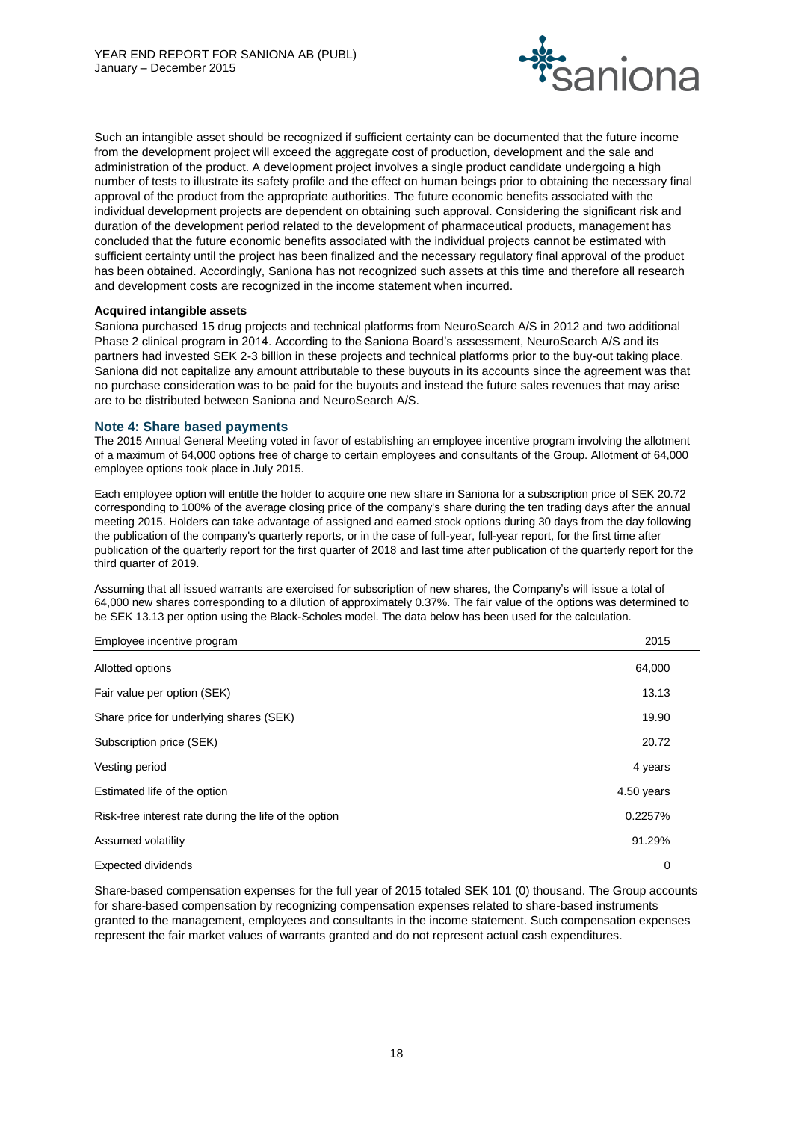

Such an intangible asset should be recognized if sufficient certainty can be documented that the future income from the development project will exceed the aggregate cost of production, development and the sale and administration of the product. A development project involves a single product candidate undergoing a high number of tests to illustrate its safety profile and the effect on human beings prior to obtaining the necessary final approval of the product from the appropriate authorities. The future economic benefits associated with the individual development projects are dependent on obtaining such approval. Considering the significant risk and duration of the development period related to the development of pharmaceutical products, management has concluded that the future economic benefits associated with the individual projects cannot be estimated with sufficient certainty until the project has been finalized and the necessary regulatory final approval of the product has been obtained. Accordingly, Saniona has not recognized such assets at this time and therefore all research and development costs are recognized in the income statement when incurred.

### **Acquired intangible assets**

Saniona purchased 15 drug projects and technical platforms from NeuroSearch A/S in 2012 and two additional Phase 2 clinical program in 2014. According to the Saniona Board's assessment, NeuroSearch A/S and its partners had invested SEK 2-3 billion in these projects and technical platforms prior to the buy-out taking place. Saniona did not capitalize any amount attributable to these buyouts in its accounts since the agreement was that no purchase consideration was to be paid for the buyouts and instead the future sales revenues that may arise are to be distributed between Saniona and NeuroSearch A/S.

### **Note 4: Share based payments**

The 2015 Annual General Meeting voted in favor of establishing an employee incentive program involving the allotment of a maximum of 64,000 options free of charge to certain employees and consultants of the Group. Allotment of 64,000 employee options took place in July 2015.

Each employee option will entitle the holder to acquire one new share in Saniona for a subscription price of SEK 20.72 corresponding to 100% of the average closing price of the company's share during the ten trading days after the annual meeting 2015. Holders can take advantage of assigned and earned stock options during 30 days from the day following the publication of the company's quarterly reports, or in the case of full-year, full-year report, for the first time after publication of the quarterly report for the first quarter of 2018 and last time after publication of the quarterly report for the third quarter of 2019.

Assuming that all issued warrants are exercised for subscription of new shares, the Company's will issue a total of 64,000 new shares corresponding to a dilution of approximately 0.37%. The fair value of the options was determined to be SEK 13.13 per option using the Black-Scholes model. The data below has been used for the calculation.

#### Employee incentive program 2015

| Allotted options                                      | 64,000     |
|-------------------------------------------------------|------------|
| Fair value per option (SEK)                           | 13.13      |
| Share price for underlying shares (SEK)               | 19.90      |
| Subscription price (SEK)                              | 20.72      |
| Vesting period                                        | 4 years    |
| Estimated life of the option                          | 4.50 years |
| Risk-free interest rate during the life of the option | 0.2257%    |
| Assumed volatility                                    | 91.29%     |
| Expected dividends                                    | 0          |

Share-based compensation expenses for the full year of 2015 totaled SEK 101 (0) thousand. The Group accounts for share-based compensation by recognizing compensation expenses related to share-based instruments granted to the management, employees and consultants in the income statement. Such compensation expenses represent the fair market values of warrants granted and do not represent actual cash expenditures.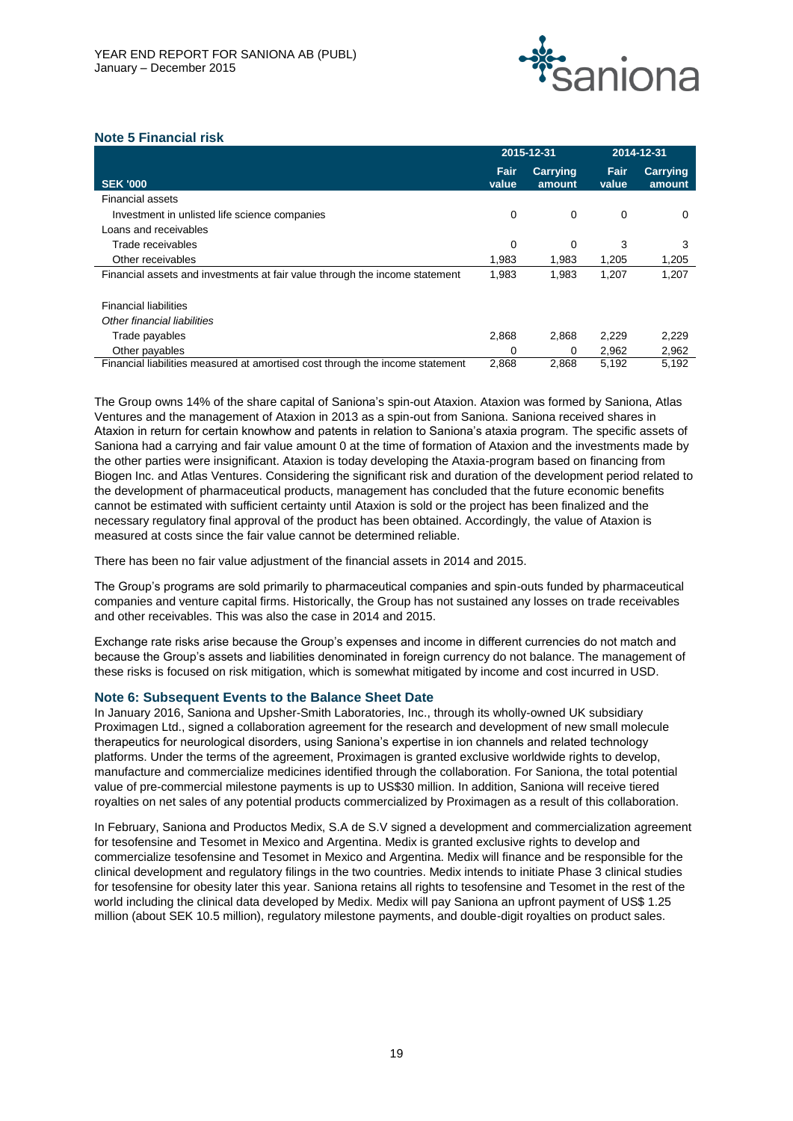

## **Note 5 Financial risk**

|                                                                               |               | 2015-12-31                |               | 2014-12-31                |  |
|-------------------------------------------------------------------------------|---------------|---------------------------|---------------|---------------------------|--|
| <b>SEK '000</b>                                                               | Fair<br>value | <b>Carrying</b><br>amount | Fair<br>value | <b>Carrying</b><br>amount |  |
| <b>Financial assets</b>                                                       |               |                           |               |                           |  |
| Investment in unlisted life science companies                                 | 0             | 0                         | 0             | 0                         |  |
| Loans and receivables                                                         |               |                           |               |                           |  |
| Trade receivables                                                             | 0             | 0                         | 3             | 3                         |  |
| Other receivables                                                             | 1.983         | 1,983                     | 1,205         | 1,205                     |  |
| Financial assets and investments at fair value through the income statement   | 1,983         | 1,983                     | 1,207         | 1,207                     |  |
| <b>Financial liabilities</b>                                                  |               |                           |               |                           |  |
| Other financial liabilities                                                   |               |                           |               |                           |  |
| Trade payables                                                                | 2,868         | 2,868                     | 2,229         | 2,229                     |  |
| Other payables                                                                | 0             | 0                         | 2.962         | 2,962                     |  |
| Financial liabilities measured at amortised cost through the income statement | 2.868         | 2.868                     | 5,192         | 5,192                     |  |

The Group owns 14% of the share capital of Saniona's spin-out Ataxion. Ataxion was formed by Saniona, Atlas Ventures and the management of Ataxion in 2013 as a spin-out from Saniona. Saniona received shares in Ataxion in return for certain knowhow and patents in relation to Saniona's ataxia program. The specific assets of Saniona had a carrying and fair value amount 0 at the time of formation of Ataxion and the investments made by the other parties were insignificant. Ataxion is today developing the Ataxia-program based on financing from Biogen Inc. and Atlas Ventures. Considering the significant risk and duration of the development period related to the development of pharmaceutical products, management has concluded that the future economic benefits cannot be estimated with sufficient certainty until Ataxion is sold or the project has been finalized and the necessary regulatory final approval of the product has been obtained. Accordingly, the value of Ataxion is measured at costs since the fair value cannot be determined reliable.

There has been no fair value adjustment of the financial assets in 2014 and 2015.

The Group's programs are sold primarily to pharmaceutical companies and spin-outs funded by pharmaceutical companies and venture capital firms. Historically, the Group has not sustained any losses on trade receivables and other receivables. This was also the case in 2014 and 2015.

Exchange rate risks arise because the Group's expenses and income in different currencies do not match and because the Group's assets and liabilities denominated in foreign currency do not balance. The management of these risks is focused on risk mitigation, which is somewhat mitigated by income and cost incurred in USD.

#### **Note 6: Subsequent Events to the Balance Sheet Date**

In January 2016, Saniona and Upsher-Smith Laboratories, Inc., through its wholly-owned UK subsidiary Proximagen Ltd., signed a collaboration agreement for the research and development of new small molecule therapeutics for neurological disorders, using Saniona's expertise in ion channels and related technology platforms. Under the terms of the agreement, Proximagen is granted exclusive worldwide rights to develop, manufacture and commercialize medicines identified through the collaboration. For Saniona, the total potential value of pre-commercial milestone payments is up to US\$30 million. In addition, Saniona will receive tiered royalties on net sales of any potential products commercialized by Proximagen as a result of this collaboration.

In February, Saniona and Productos Medix, S.A de S.V signed a development and commercialization agreement for tesofensine and Tesomet in Mexico and Argentina. Medix is granted exclusive rights to develop and commercialize tesofensine and Tesomet in Mexico and Argentina. Medix will finance and be responsible for the clinical development and regulatory filings in the two countries. Medix intends to initiate Phase 3 clinical studies for tesofensine for obesity later this year. Saniona retains all rights to tesofensine and Tesomet in the rest of the world including the clinical data developed by Medix. Medix will pay Saniona an upfront payment of US\$ 1.25 million (about SEK 10.5 million), regulatory milestone payments, and double-digit royalties on product sales.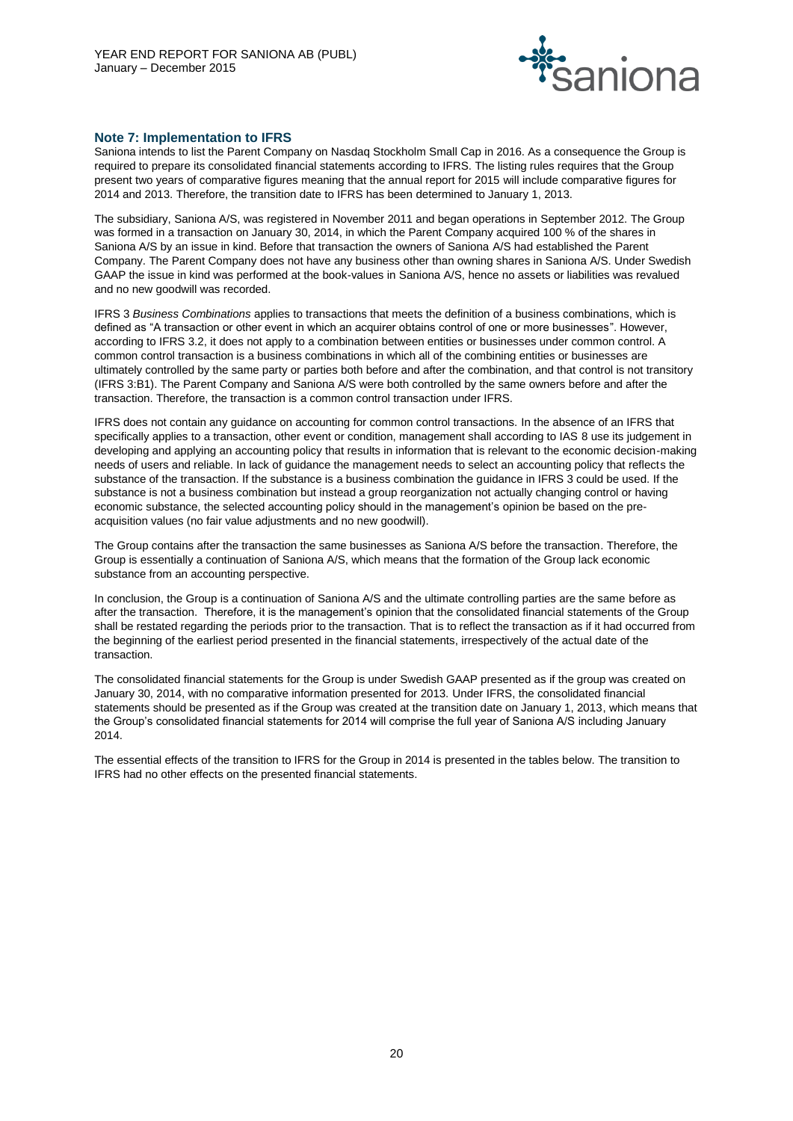

### **Note 7: Implementation to IFRS**

Saniona intends to list the Parent Company on Nasdaq Stockholm Small Cap in 2016. As a consequence the Group is required to prepare its consolidated financial statements according to IFRS. The listing rules requires that the Group present two years of comparative figures meaning that the annual report for 2015 will include comparative figures for 2014 and 2013. Therefore, the transition date to IFRS has been determined to January 1, 2013.

The subsidiary, Saniona A/S, was registered in November 2011 and began operations in September 2012. The Group was formed in a transaction on January 30, 2014, in which the Parent Company acquired 100 % of the shares in Saniona A/S by an issue in kind. Before that transaction the owners of Saniona A/S had established the Parent Company. The Parent Company does not have any business other than owning shares in Saniona A/S. Under Swedish GAAP the issue in kind was performed at the book-values in Saniona A/S, hence no assets or liabilities was revalued and no new goodwill was recorded.

IFRS 3 *Business Combinations* applies to transactions that meets the definition of a business combinations, which is defined as "A transaction or other event in which an acquirer obtains control of one or more businesses". However, according to IFRS 3.2, it does not apply to a combination between entities or businesses under common control. A common control transaction is a business combinations in which all of the combining entities or businesses are ultimately controlled by the same party or parties both before and after the combination, and that control is not transitory (IFRS 3:B1). The Parent Company and Saniona A/S were both controlled by the same owners before and after the transaction. Therefore, the transaction is a common control transaction under IFRS.

IFRS does not contain any guidance on accounting for common control transactions. In the absence of an IFRS that specifically applies to a transaction, other event or condition, management shall according to IAS 8 use its judgement in developing and applying an accounting policy that results in information that is relevant to the economic decision-making needs of users and reliable. In lack of guidance the management needs to select an accounting policy that reflects the substance of the transaction. If the substance is a business combination the guidance in IFRS 3 could be used. If the substance is not a business combination but instead a group reorganization not actually changing control or having economic substance, the selected accounting policy should in the management's opinion be based on the preacquisition values (no fair value adjustments and no new goodwill).

The Group contains after the transaction the same businesses as Saniona A/S before the transaction. Therefore, the Group is essentially a continuation of Saniona A/S, which means that the formation of the Group lack economic substance from an accounting perspective.

In conclusion, the Group is a continuation of Saniona A/S and the ultimate controlling parties are the same before as after the transaction. Therefore, it is the management's opinion that the consolidated financial statements of the Group shall be restated regarding the periods prior to the transaction. That is to reflect the transaction as if it had occurred from the beginning of the earliest period presented in the financial statements, irrespectively of the actual date of the transaction.

The consolidated financial statements for the Group is under Swedish GAAP presented as if the group was created on January 30, 2014, with no comparative information presented for 2013. Under IFRS, the consolidated financial statements should be presented as if the Group was created at the transition date on January 1, 2013, which means that the Group's consolidated financial statements for 2014 will comprise the full year of Saniona A/S including January 2014.

The essential effects of the transition to IFRS for the Group in 2014 is presented in the tables below. The transition to IFRS had no other effects on the presented financial statements.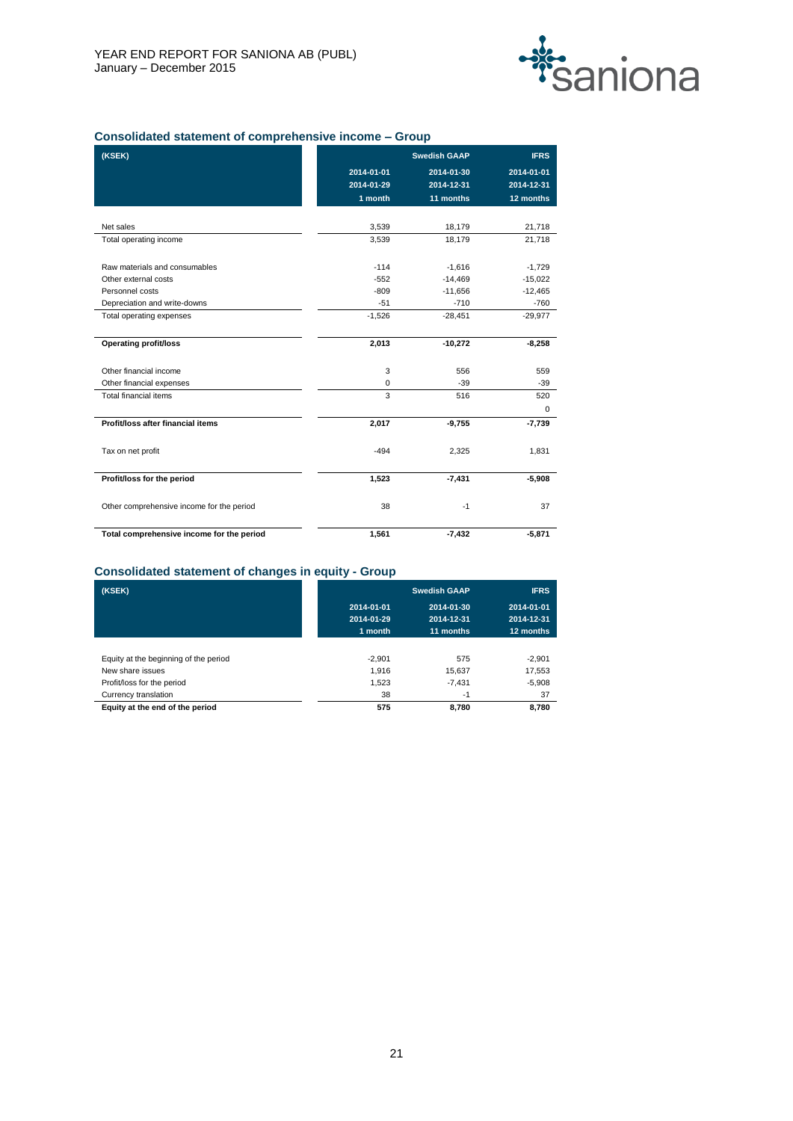

## **Consolidated statement of comprehensive income – Group**

| (KSEK)                                    |            | <b>Swedish GAAP</b> | <b>IFRS</b> |
|-------------------------------------------|------------|---------------------|-------------|
|                                           | 2014-01-01 | 2014-01-30          | 2014-01-01  |
|                                           | 2014-01-29 | 2014-12-31          | 2014-12-31  |
|                                           | 1 month    | 11 months           | 12 months   |
|                                           |            |                     |             |
| Net sales                                 | 3,539      | 18,179              | 21,718      |
| Total operating income                    | 3,539      | 18,179              | 21,718      |
| Raw materials and consumables             | $-114$     | $-1,616$            | $-1,729$    |
| Other external costs                      | $-552$     | $-14,469$           | $-15,022$   |
| Personnel costs                           | $-809$     | $-11,656$           | $-12,465$   |
| Depreciation and write-downs              | $-51$      | $-710$              | $-760$      |
| Total operating expenses                  | $-1,526$   | $-28,451$           | $-29,977$   |
|                                           |            |                     |             |
| <b>Operating profit/loss</b>              | 2,013      | $-10,272$           | $-8,258$    |
| Other financial income                    | 3          | 556                 | 559         |
| Other financial expenses                  | 0          | $-39$               | $-39$       |
| Total financial items                     | 3          | 516                 | 520         |
|                                           |            |                     | 0           |
| Profit/loss after financial items         | 2,017      | $-9,755$            | $-7,739$    |
| Tax on net profit                         | $-494$     | 2,325               | 1,831       |
|                                           |            |                     |             |
| Profit/loss for the period                | 1,523      | $-7,431$            | $-5,908$    |
| Other comprehensive income for the period | 38         | $-1$                | 37          |
| Total comprehensive income for the period | 1,561      | $-7,432$            | $-5,871$    |

### **Consolidated statement of changes in equity - Group**

| (KSEK)                                |            | <b>Swedish GAAP</b> | <b>IFRS</b> |
|---------------------------------------|------------|---------------------|-------------|
|                                       | 2014-01-01 | 2014-01-30          | 2014-01-01  |
|                                       | 2014-01-29 | 2014-12-31          | 2014-12-31  |
|                                       | 1 month    | 11 months           | 12 months   |
|                                       |            |                     |             |
| Equity at the beginning of the period | $-2.901$   | 575                 | $-2.901$    |
| New share issues                      | 1,916      | 15.637              | 17,553      |
| Profit/loss for the period            | 1,523      | $-7.431$            | $-5,908$    |
| Currency translation                  | 38         | $-1$                | 37          |
| Equity at the end of the period       | 575        | 8,780               | 8,780       |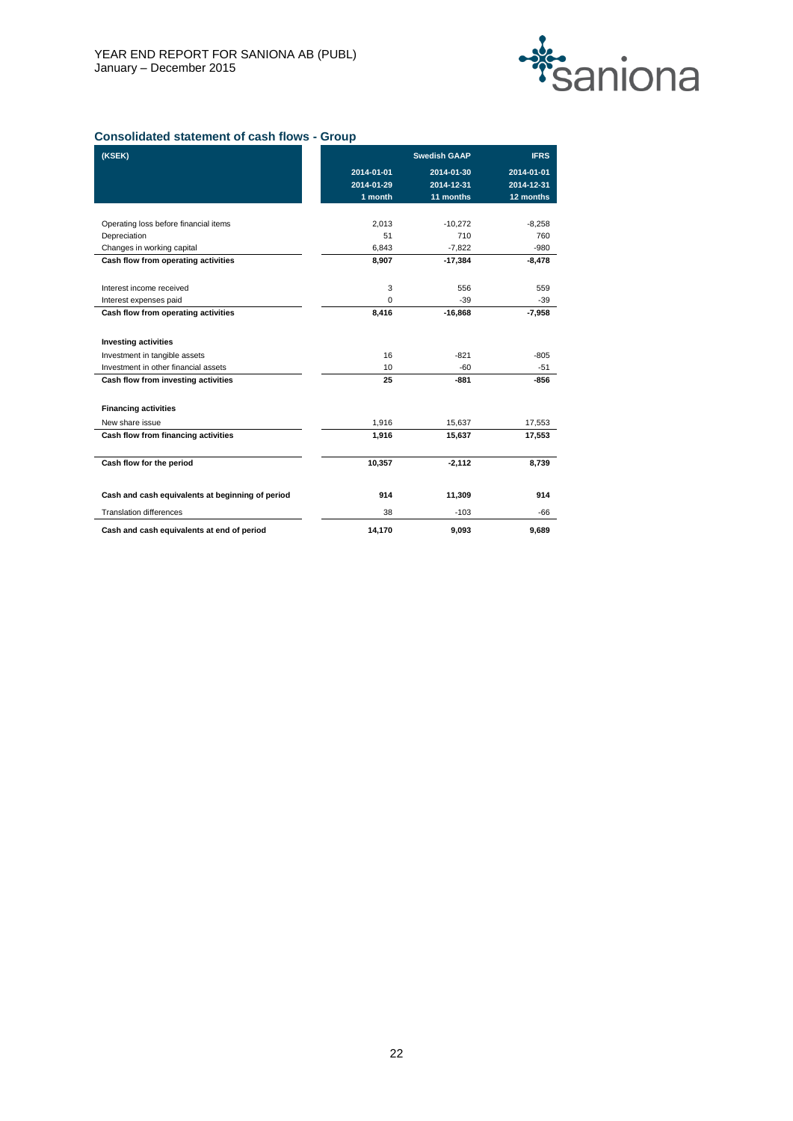

## **Consolidated statement of cash flows - Group**

| (KSEK)                                           |            | <b>Swedish GAAP</b> | <b>IFRS</b>     |
|--------------------------------------------------|------------|---------------------|-----------------|
|                                                  | 2014-01-01 | 2014-01-30          | 2014-01-01      |
|                                                  | 2014-01-29 | 2014-12-31          | 2014-12-31      |
|                                                  | 1 month    | 11 months           | 12 months       |
| Operating loss before financial items            | 2,013      | $-10,272$           |                 |
| Depreciation                                     | 51         | 710                 | $-8,258$<br>760 |
| Changes in working capital                       | 6.843      | $-7,822$            | $-980$          |
| Cash flow from operating activities              | 8,907      | $-17,384$           | $-8,478$        |
| Interest income received                         | 3          | 556                 | 559             |
| Interest expenses paid                           | $\Omega$   | $-39$               | $-39$           |
| Cash flow from operating activities              | 8,416      | $-16,868$           | $-7,958$        |
| <b>Investing activities</b>                      |            |                     |                 |
| Investment in tangible assets                    | 16         | $-821$              | $-805$          |
| Investment in other financial assets             | 10         | $-60$               | $-51$           |
| Cash flow from investing activities              | 25         | $-881$              | $-856$          |
| <b>Financing activities</b>                      |            |                     |                 |
| New share issue                                  | 1,916      | 15,637              | 17,553          |
| Cash flow from financing activities              | 1,916      | 15,637              | 17,553          |
| Cash flow for the period                         | 10,357     | $-2,112$            | 8,739           |
| Cash and cash equivalents at beginning of period | 914        | 11,309              | 914             |
| <b>Translation differences</b>                   | 38         | $-103$              | -66             |
| Cash and cash equivalents at end of period       | 14.170     | 9.093               | 9.689           |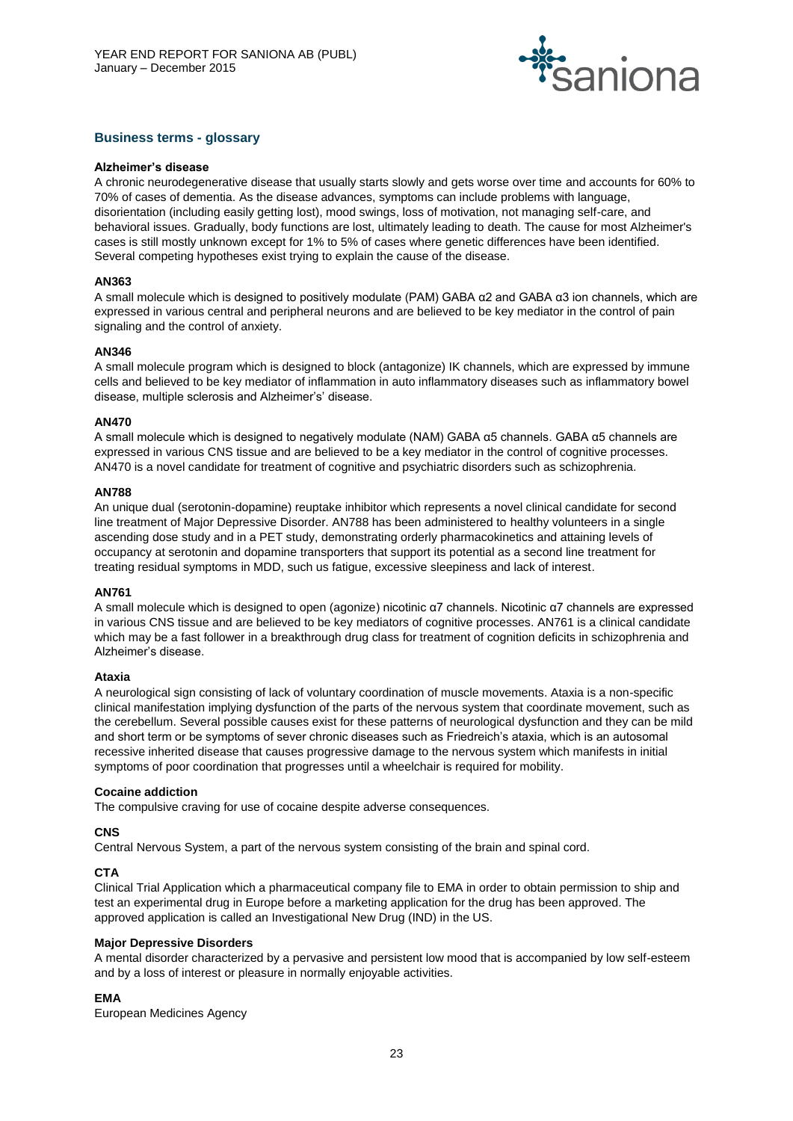

## **Business terms - glossary**

#### **Alzheimer's disease**

A chronic neurodegenerative disease that usually starts slowly and gets worse over time and accounts for 60% to 70% of cases of dementia. As the disease advances, symptoms can include problems with language, disorientation (including easily getting lost), mood swings, loss of motivation, not managing self-care, and behavioral issues. Gradually, body functions are lost, ultimately leading to death. The cause for most Alzheimer's cases is still mostly unknown except for 1% to 5% of cases where genetic differences have been identified. Several competing hypotheses exist trying to explain the cause of the disease.

### **AN363**

A small molecule which is designed to positively modulate (PAM) GABA α2 and GABA α3 ion channels, which are expressed in various central and peripheral neurons and are believed to be key mediator in the control of pain signaling and the control of anxiety.

### **AN346**

A small molecule program which is designed to block (antagonize) IK channels, which are expressed by immune cells and believed to be key mediator of inflammation in auto inflammatory diseases such as inflammatory bowel disease, multiple sclerosis and Alzheimer's' disease.

### **AN470**

A small molecule which is designed to negatively modulate (NAM) GABA α5 channels. GABA α5 channels are expressed in various CNS tissue and are believed to be a key mediator in the control of cognitive processes. AN470 is a novel candidate for treatment of cognitive and psychiatric disorders such as schizophrenia.

#### **AN788**

An unique dual (serotonin-dopamine) reuptake inhibitor which represents a novel clinical candidate for second line treatment of Major Depressive Disorder. AN788 has been administered to healthy volunteers in a single ascending dose study and in a PET study, demonstrating orderly pharmacokinetics and attaining levels of occupancy at serotonin and dopamine transporters that support its potential as a second line treatment for treating residual symptoms in MDD, such us fatigue, excessive sleepiness and lack of interest.

### **AN761**

A small molecule which is designed to open (agonize) nicotinic α7 channels. Nicotinic α7 channels are expressed in various CNS tissue and are believed to be key mediators of cognitive processes. AN761 is a clinical candidate which may be a fast follower in a breakthrough drug class for treatment of cognition deficits in schizophrenia and Alzheimer's disease.

#### **Ataxia**

A neurological sign consisting of lack of voluntary coordination of muscle movements. Ataxia is a non-specific clinical manifestation implying dysfunction of the parts of the nervous system that coordinate movement, such as the cerebellum. Several possible causes exist for these patterns of neurological dysfunction and they can be mild and short term or be symptoms of sever chronic diseases such as Friedreich's ataxia, which is an autosomal recessive inherited disease that causes progressive damage to the nervous system which manifests in initial symptoms of poor coordination that progresses until a wheelchair is required for mobility.

#### **Cocaine addiction**

The compulsive craving for use of cocaine despite adverse consequences.

#### **CNS**

Central Nervous System, a part of the nervous system consisting of the brain and spinal cord.

## **CTA**

Clinical Trial Application which a pharmaceutical company file to EMA in order to obtain permission to ship and test an experimental drug in Europe before a marketing application for the drug has been approved. The approved application is called an Investigational New Drug (IND) in the US.

#### **Major Depressive Disorders**

A mental disorder characterized by a pervasive and persistent low mood that is accompanied by low self-esteem and by a loss of interest or pleasure in normally enjoyable activities.

## **EMA**

European Medicines Agency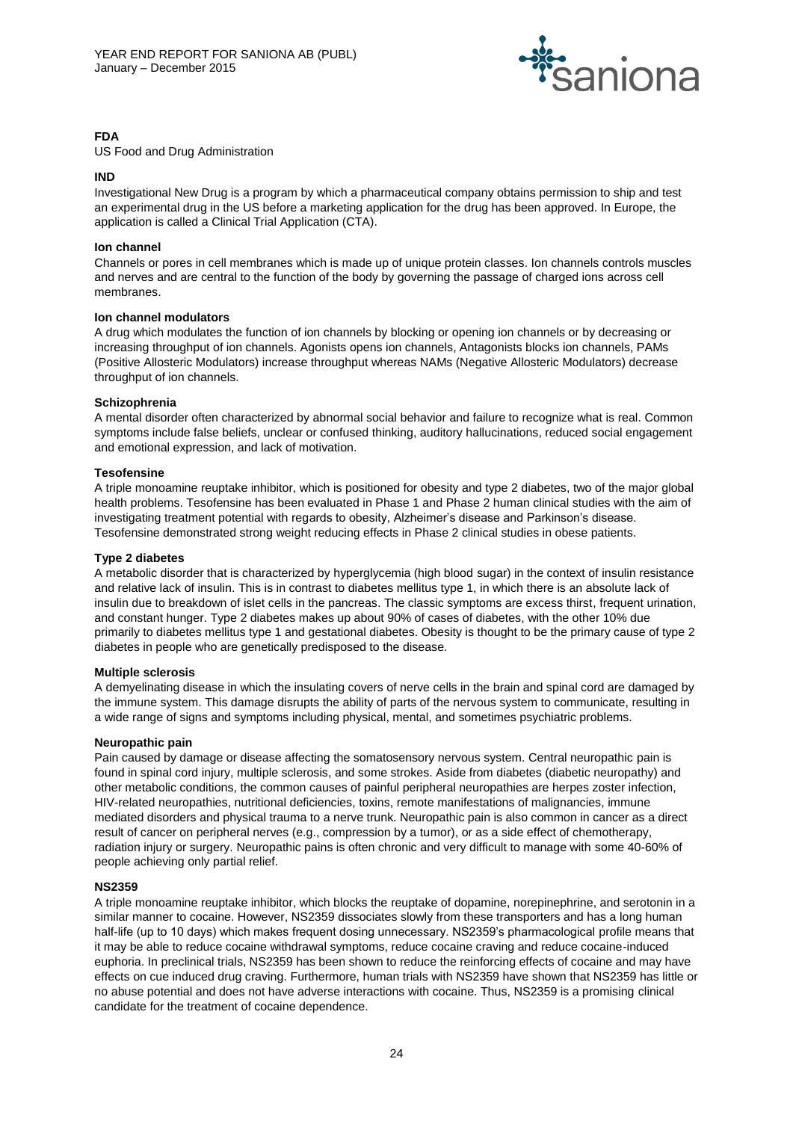

## **FDA**

US Food and Drug Administration

## **IND**

Investigational New Drug is a program by which a pharmaceutical company obtains permission to ship and test an experimental drug in the US before a marketing application for the drug has been approved. In Europe, the application is called a Clinical Trial Application (CTA).

## **Ion channel**

Channels or pores in cell membranes which is made up of unique protein classes. Ion channels controls muscles and nerves and are central to the function of the body by governing the passage of charged ions across cell membranes.

### **Ion channel modulators**

A drug which modulates the function of ion channels by blocking or opening ion channels or by decreasing or increasing throughput of ion channels. Agonists opens ion channels, Antagonists blocks ion channels, PAMs (Positive Allosteric Modulators) increase throughput whereas NAMs (Negative Allosteric Modulators) decrease throughput of ion channels.

### **Schizophrenia**

A mental disorder often characterized by abnormal social behavior and failure to recognize what is real. Common symptoms include false beliefs, unclear or confused thinking, auditory hallucinations, reduced social engagement and emotional expression, and lack of motivation.

### **Tesofensine**

A triple monoamine reuptake inhibitor, which is positioned for obesity and type 2 diabetes, two of the major global health problems. Tesofensine has been evaluated in Phase 1 and Phase 2 human clinical studies with the aim of investigating treatment potential with regards to obesity, Alzheimer's disease and Parkinson's disease. Tesofensine demonstrated strong weight reducing effects in Phase 2 clinical studies in obese patients.

### **Type 2 diabetes**

A metabolic disorder that is characterized by hyperglycemia (high blood sugar) in the context of insulin resistance and relative lack of insulin. This is in contrast to diabetes mellitus type 1, in which there is an absolute lack of insulin due to breakdown of islet cells in the pancreas. The classic symptoms are excess thirst, frequent urination, and constant hunger. Type 2 diabetes makes up about 90% of cases of diabetes, with the other 10% due primarily to diabetes mellitus type 1 and gestational diabetes. Obesity is thought to be the primary cause of type 2 diabetes in people who are genetically predisposed to the disease.

## **Multiple sclerosis**

A demyelinating disease in which the insulating covers of nerve cells in the brain and spinal cord are damaged by the immune system. This damage disrupts the ability of parts of the nervous system to communicate, resulting in a wide range of signs and symptoms including physical, mental, and sometimes psychiatric problems.

## **Neuropathic pain**

Pain caused by damage or disease affecting the somatosensory nervous system. Central neuropathic pain is found in spinal cord injury, multiple sclerosis, and some strokes. Aside from diabetes (diabetic neuropathy) and other metabolic conditions, the common causes of painful peripheral neuropathies are herpes zoster infection, HIV-related neuropathies, nutritional deficiencies, toxins, remote manifestations of malignancies, immune mediated disorders and physical trauma to a nerve trunk. Neuropathic pain is also common in cancer as a direct result of cancer on peripheral nerves (e.g., compression by a tumor), or as a side effect of chemotherapy, radiation injury or surgery. Neuropathic pains is often chronic and very difficult to manage with some 40-60% of people achieving only partial relief.

## **NS2359**

A triple monoamine reuptake inhibitor, which blocks the reuptake of dopamine, norepinephrine, and serotonin in a similar manner to cocaine. However, NS2359 dissociates slowly from these transporters and has a long human half-life (up to 10 days) which makes frequent dosing unnecessary. NS2359's pharmacological profile means that it may be able to reduce cocaine withdrawal symptoms, reduce cocaine craving and reduce cocaine-induced euphoria. In preclinical trials, NS2359 has been shown to reduce the reinforcing effects of cocaine and may have effects on cue induced drug craving. Furthermore, human trials with NS2359 have shown that NS2359 has little or no abuse potential and does not have adverse interactions with cocaine. Thus, NS2359 is a promising clinical candidate for the treatment of cocaine dependence.